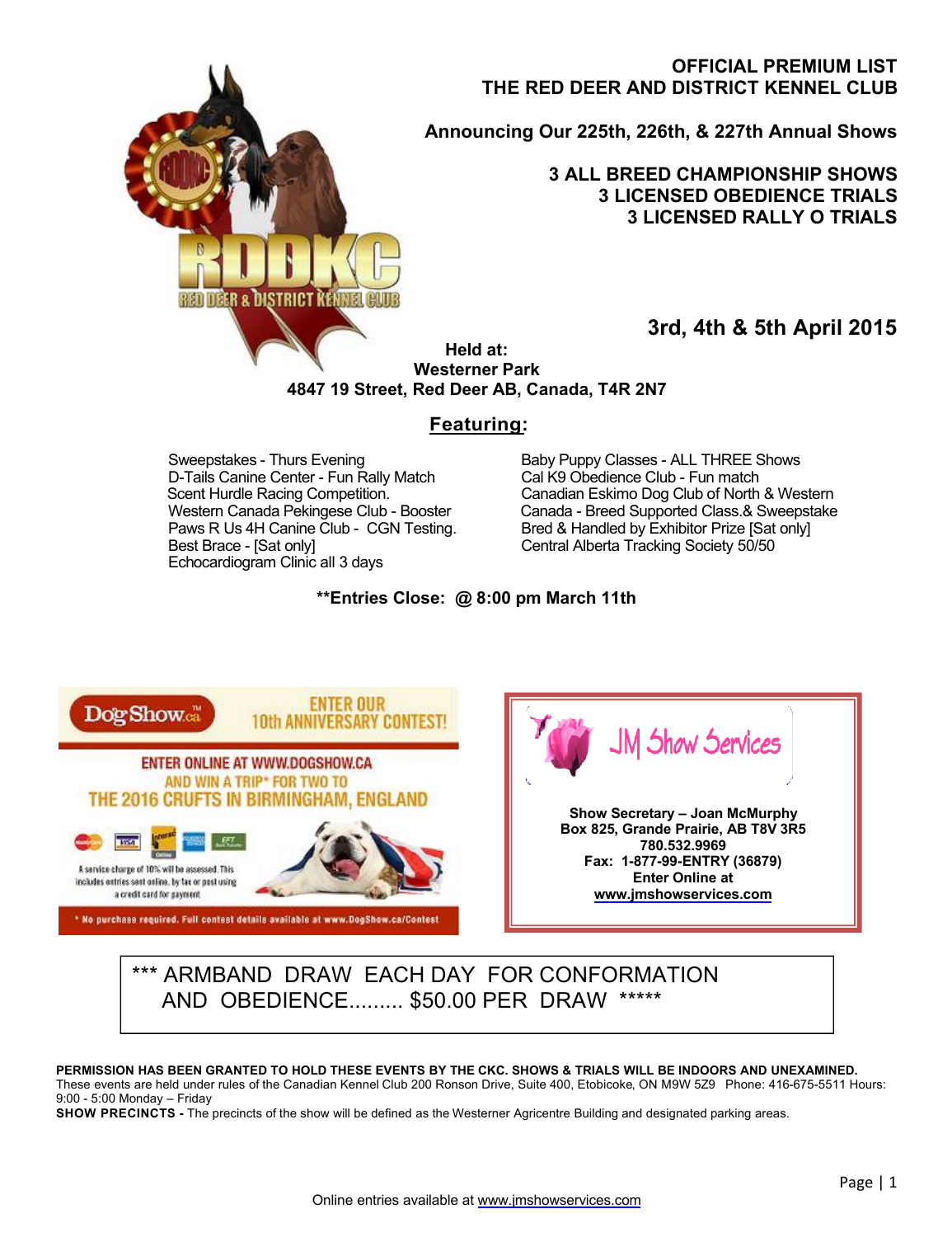# **OFFICIAL PREMIUM LIST THE RED DEER AND DISTRICT KENNEL CLUB**

**Announcing Our 225th, 226th, & 227th Annual Shows**

### **3 ALL BREED CHAMPIONSHIP SHOWS 3 LICENSED OBEDIENCE TRIALS 3 LICENSED RALLY O TRIALS**

**3rd, 4th & 5th April 2015**

**Held at: Westerner Park 4847 19 Street, Red Deer AB, Canada, T4R 2N7**

# **Featuring:**

D-Tails Canine Center - Fun Rally Match<br>Scent Hurdle Racing Competition. Paws R Us 4H Canine Club - CGN Testing. Bred & Handled by Exhibitor Prize [Sat only]<br>Best Brace - ISat only] Central Alberta Tracking Society 50/50 Echocardiogram Clinic all 3 days

REDIDER & DISTRICT KENNEL

Sweepstakes - Thurs Evening and Baby Puppy Classes - ALL THREE Shows<br>
D-Tails Canine Center - Fun Rally Match Cal K9 Obedience Club - Fun match Scent Hurdle Racing Competition.<br>
Western Canada Pekingese Club - Booster Canada - Breed Supported Class.& Sweepstake Western Canada Pekingese Club - Booster Canada - Breed Supported Class.& Sweepstake<br>
Paws R Us 4H Canine Club - CGN Testing. Bred & Handled by Exhibitor Prize [Sat only] Central Alberta Tracking Society 50/50

### **\*\*Entries Close: @ 8:00 pm March 11th**



# \*\*\* ARMBAND DRAW EACH DAY FOR CONFORMATION AND OBEDIENCE......... \$50.00 PER DRAW \*\*\*\*\*

#### **PERMISSION HAS BEEN GRANTED TO HOLD THESE EVENTS BY THE CKC. SHOWS & TRIALS WILL BE INDOORS AND UNEXAMINED.**

These events are held under rules of the Canadian Kennel Club 200 Ronson Drive, Suite 400, Etobicoke, ON M9W 5Z9 Phone: 416-675-5511 Hours: 9:00 - 5:00 Monday – Friday

**SHOW PRECINCTS** - The precincts of the show will be defined as the Westerner Agricentre Building and designated parking areas.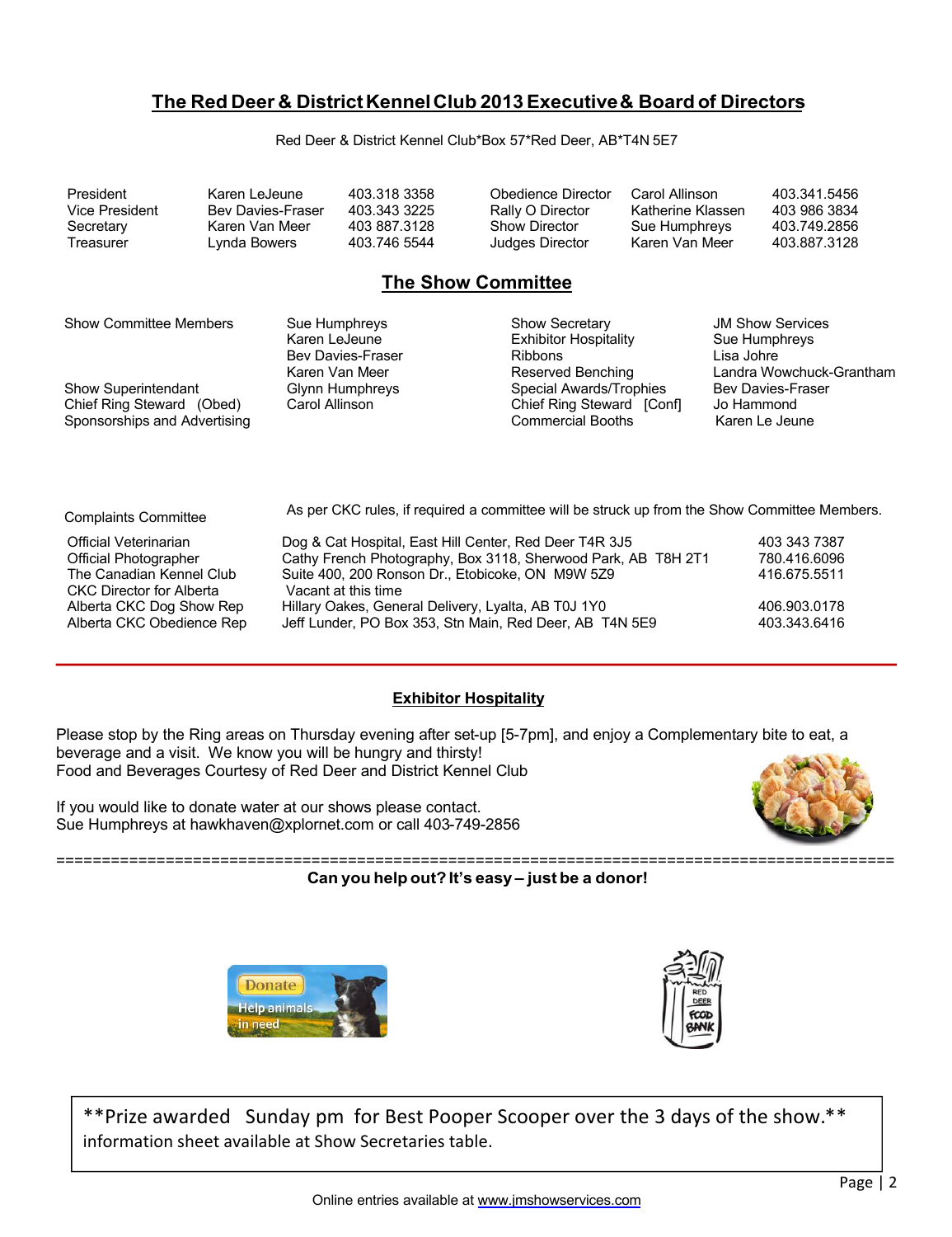# **The Red Deer & District Kennel Club 2013 Executive & Board of Directors**

Red Deer & District Kennel Club\*Box 57\*Red Deer, AB\*T4N 5E7

| President      | Karen LeJeune     | 403.318.3358 | Obedience Director   | Carol Allinson    | 403.341.5456 |
|----------------|-------------------|--------------|----------------------|-------------------|--------------|
| Vice President | Bev Davies-Fraser | 403.343.3225 | Rally O Director     | Katherine Klassen | 403 986 3834 |
| Secretary      | Karen Van Meer    | 403 887 3128 | <b>Show Director</b> | Sue Humphreys     | 403.749.2856 |
| Treasurer      | Lvnda Bowers      | 403.746 5544 | Judges Director      | Karen Van Meer    | 403.887.3128 |

# **The Show Committee**

| <b>Show Committee Members</b><br>Show Superintendant<br>Chief Ring Steward (Obed)<br>Sponsorships and Advertising | Sue Humphreys<br>Karen LeJeune<br><b>Bev Davies-Fraser</b><br>Karen Van Meer<br>Glynn Humphreys<br>Carol Allinson | <b>Show Secretary</b><br><b>Exhibitor Hospitality</b><br><b>Ribbons</b><br>Reserved Benching<br>Special Awards/Trophies<br>Chief Ring Steward [Conf]<br><b>Commercial Booths</b> | <b>JM Show Services</b><br>Sue Humphreys<br>Lisa Johre<br>Landra Wowchuck-Grantham<br><b>Bev Davies-Fraser</b><br>Jo Hammond<br>Karen Le Jeune |
|-------------------------------------------------------------------------------------------------------------------|-------------------------------------------------------------------------------------------------------------------|----------------------------------------------------------------------------------------------------------------------------------------------------------------------------------|------------------------------------------------------------------------------------------------------------------------------------------------|
| <b>Complaints Committee</b>                                                                                       | As per CKC rules, if required a committee will be struck up from the Show Committee Members.                      |                                                                                                                                                                                  |                                                                                                                                                |
| <b>Official Veterinarian</b>                                                                                      | Dog & Cat Hospital, East Hill Center, Red Deer T4R 3J5                                                            |                                                                                                                                                                                  | 403 343 7387                                                                                                                                   |

Official Photographer **Cathy French Photography, Box 3118, Sherwood Park**, AB T8H 2T1 780.416.6096<br>The Canadian Kennel Club Suite 400, 200 Ronson Dr., Etobicoke, ON M9W 5Z9 416.675.5511 Suite 400, 200 Ronson Dr., Etobicoke, ON M9W 5Z9 CKC Director for Alberta Vacant at this time<br>Alberta CKC Dog Show Rep Hillary Oakes, Gene Alberta CKC Dog Show Rep Hillary Oakes, General Delivery, Lyalta, AB T0J 1Y0 406.903.0178<br>Alberta CKC Obedience Rep Jeff Lunder, PO Box 353, Stn Main, Red Deer, AB T4N 5E9 403.343.6416 Jeff Lunder, PO Box 353, Stn Main, Red Deer, AB T4N 5E9

#### **Exhibitor Hospitality**

Please stop by the Ring areas on Thursday evening after set-up [5-7pm], and enjoy a Complementary bite to eat, a beverage and a visit. We know you will be hungry and thirsty! Food and Beverages Courtesy of Red Deer and District Kennel Club

If you would like to donate water at our shows please contact. Sue Humphreys at hawkhaven@xplornet.com or call 403-749-2856



#### ============================================================================================ **Can you help out? It's easy – just be a donor!**





\*\*Prize awarded Sunday pm for Best Pooper Scooper over the 3 days of the show.\*\*<br>information shoet available at Show Sessetaries table information sheet available at Show Secretaries table.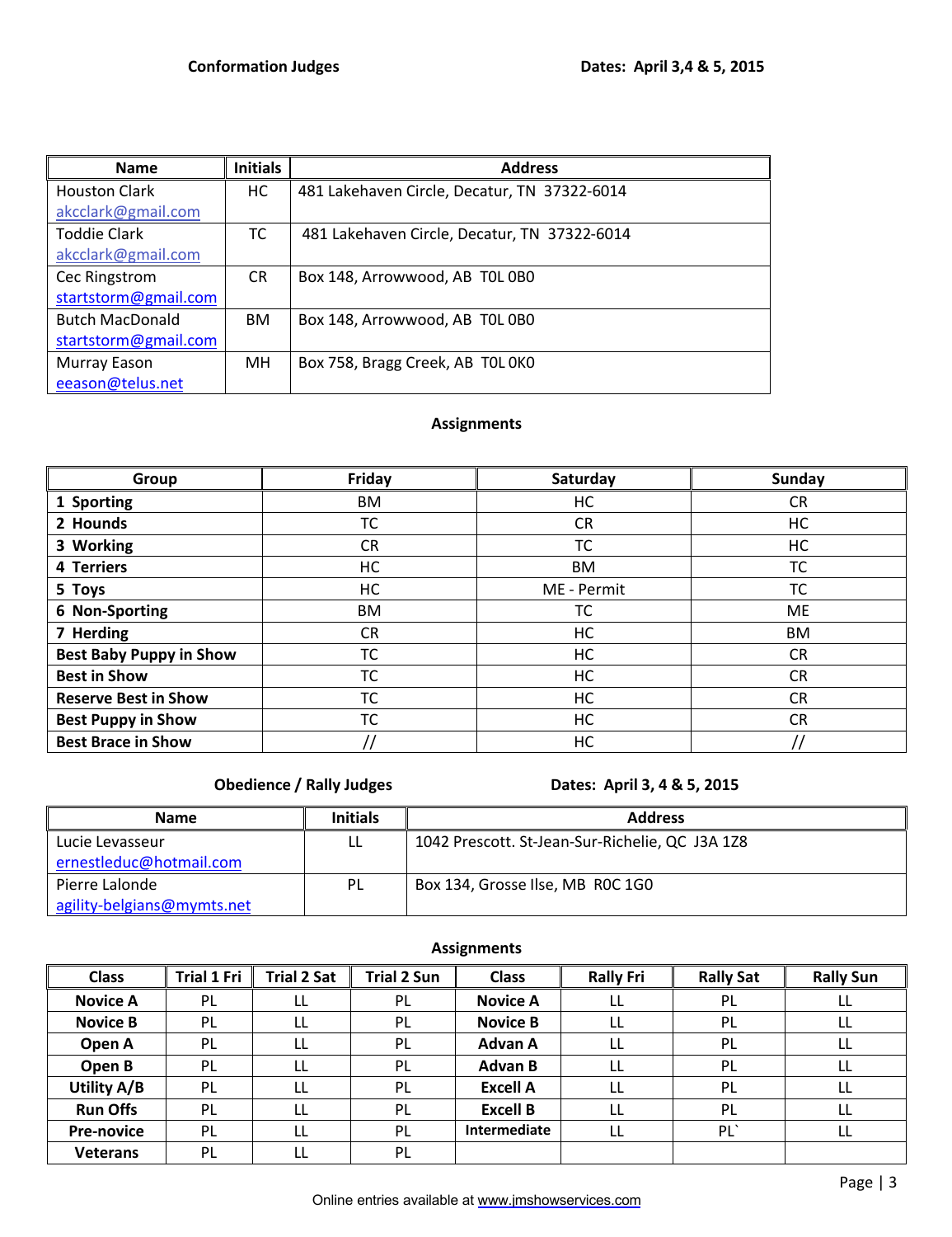| <b>Name</b>            | <b>Initials</b> | <b>Address</b>                               |
|------------------------|-----------------|----------------------------------------------|
| <b>Houston Clark</b>   | НC              | 481 Lakehaven Circle, Decatur, TN 37322-6014 |
| akcclark@gmail.com     |                 |                                              |
| <b>Toddie Clark</b>    | тс              | 481 Lakehaven Circle, Decatur, TN 37322-6014 |
| akcclark@gmail.com     |                 |                                              |
| Cec Ringstrom          | CR.             | Box 148, Arrowwood, AB TOL 0B0               |
| startstorm@gmail.com   |                 |                                              |
| <b>Butch MacDonald</b> | <b>BM</b>       | Box 148, Arrowwood, AB TOL 0B0               |
| startstorm@gmail.com   |                 |                                              |
| Murray Eason           | MН              | Box 758, Bragg Creek, AB TOL 0KO             |
| eeason@telus.net       |                 |                                              |

# **Assignments**

| Group                          | Friday    | Saturday    | Sunday    |
|--------------------------------|-----------|-------------|-----------|
| 1 Sporting                     | BM.       | НC          | CR.       |
| 2 Hounds                       | ТC        | <b>CR</b>   | HC        |
| 3 Working                      | <b>CR</b> | <b>TC</b>   | НC        |
| 4 Terriers                     | НC        | BM          | TC        |
| 5 Toys                         | НC        | ME - Permit | ТC        |
| 6 Non-Sporting                 | BM        | TC          | <b>ME</b> |
| 7 Herding                      | CR        | НC          | BM        |
| <b>Best Baby Puppy in Show</b> | ТC        | HC          | CR        |
| <b>Best in Show</b>            | ТC        | HC          | <b>CR</b> |
| <b>Reserve Best in Show</b>    | ТC        | НC          | <b>CR</b> |
| <b>Best Puppy in Show</b>      | ТC        | НC          | <b>CR</b> |
| <b>Best Brace in Show</b>      |           | HC          |           |

# **Obedience / Rally Judges Dates: April 3, 4 & 5, 2015**

| <b>Name</b>                | <b>Initials</b> | <b>Address</b>                                  |
|----------------------------|-----------------|-------------------------------------------------|
| Lucie Levasseur            | LL              | 1042 Prescott. St-Jean-Sur-Richelie, QC J3A 1Z8 |
| ernestleduc@hotmail.com    |                 |                                                 |
| Pierre Lalonde             | PL              | Box 134, Grosse Ilse, MB ROC 1G0                |
| agility-belgians@mymts.net |                 |                                                 |

**Assignments**

| <b>Class</b>      | <b>Trial 1 Fri</b> | <b>Trial 2 Sat</b> | <b>Trial 2 Sun</b> | <b>Class</b>    | <b>Rally Fri</b> | <b>Rally Sat</b> | <b>Rally Sun</b> |
|-------------------|--------------------|--------------------|--------------------|-----------------|------------------|------------------|------------------|
| <b>Novice A</b>   | <b>PL</b>          | LL                 | PL                 | <b>Novice A</b> |                  | PL               | ᄔ                |
| <b>Novice B</b>   | PL                 | LL                 | PL                 | <b>Novice B</b> |                  | PL               | LL               |
| Open A            | <b>PL</b>          | LL                 | PL                 | <b>Advan A</b>  |                  | PL               |                  |
| Open B            | <b>PL</b>          | LL                 | PL                 | <b>Advan B</b>  | LL               | PL               | LL               |
| Utility A/B       | <b>PL</b>          | LL                 | PL                 | <b>Excell A</b> | LL               | <b>PL</b>        | LL               |
| <b>Run Offs</b>   | <b>PL</b>          | LL                 | PL                 | <b>Excell B</b> | LL               | <b>PL</b>        | LL               |
| <b>Pre-novice</b> | PL                 | LL                 | PL                 | Intermediate    | LL               | PL               | LL               |
| <b>Veterans</b>   | PL                 |                    | PL                 |                 |                  |                  |                  |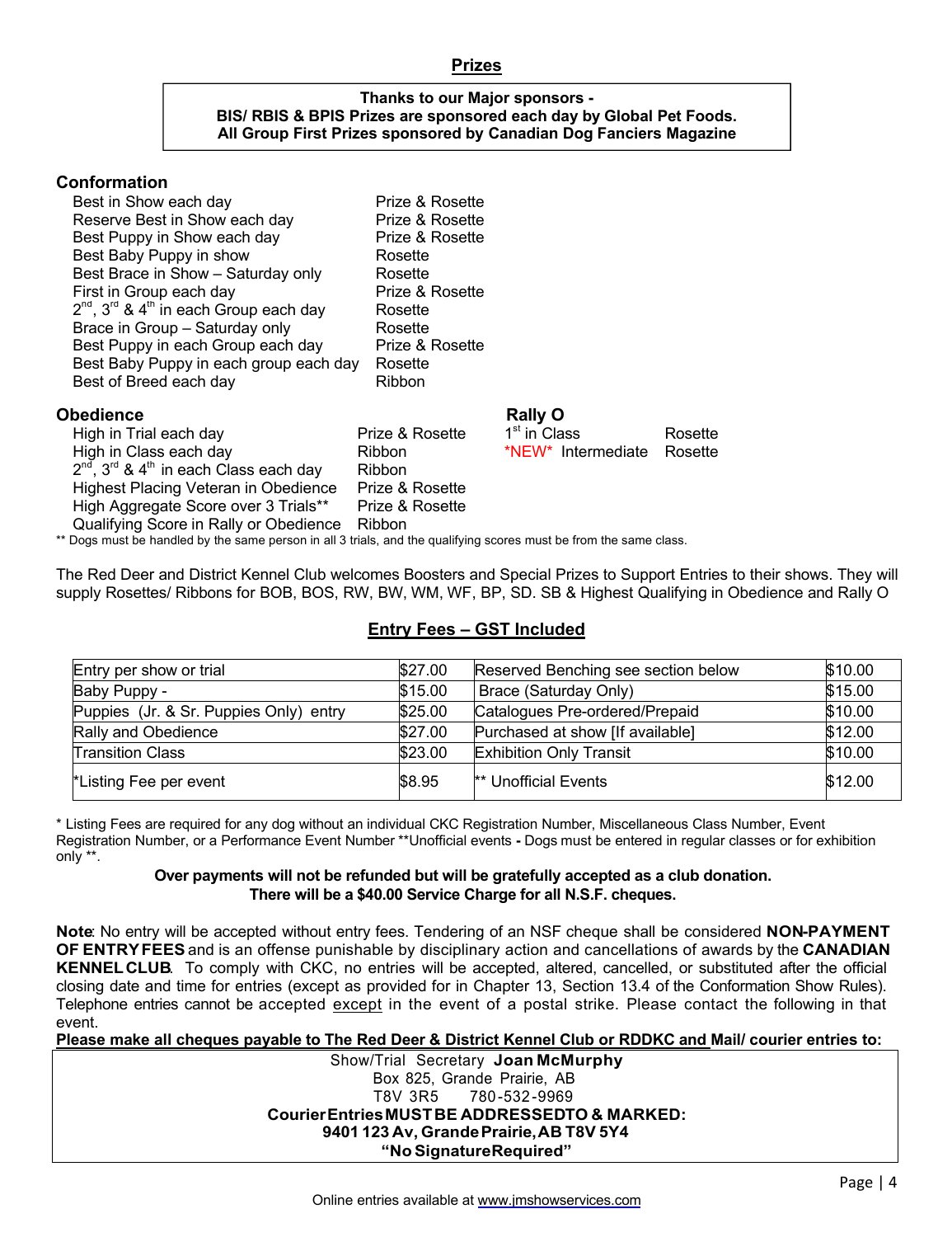#### **Prizes**

#### **Thanks to our Major sponsors - BIS/ RBIS & BPIS Prizes are sponsored each day by Global Pet Foods. All Group First Prizes sponsored by Canadian Dog Fanciers Magazine**

#### **Conformation**

| Best in Show each day                                 | Prize & Rosette |
|-------------------------------------------------------|-----------------|
| Reserve Best in Show each day                         | Prize & Rosette |
| Best Puppy in Show each day                           | Prize & Rosette |
| Best Baby Puppy in show                               | Rosette         |
| Best Brace in Show - Saturday only                    | Rosette         |
| First in Group each day                               | Prize & Rosette |
| $2^{nd}$ , $3^{rd}$ & $4^{th}$ in each Group each day | Rosette         |
| Brace in Group - Saturday only                        | Rosette         |
| Best Puppy in each Group each day                     | Prize & Rosette |
| Best Baby Puppy in each group each day                | Rosette         |
| Best of Breed each day                                | Ribbon          |
|                                                       |                 |
|                                                       |                 |

#### **Obedience Rally O**

|                                                       |                                        | 1 <sup>st</sup> in Class                                                                          | Rosette |
|-------------------------------------------------------|----------------------------------------|---------------------------------------------------------------------------------------------------|---------|
|                                                       |                                        | *NEW* Intermediate                                                                                | Rosette |
| $2^{nd}$ , $3^{rd}$ & $4^{th}$ in each Class each day |                                        |                                                                                                   |         |
| Highest Placing Veteran in Obedience                  |                                        |                                                                                                   |         |
| High Aggregate Score over 3 Trials**                  |                                        |                                                                                                   |         |
|                                                       |                                        |                                                                                                   |         |
|                                                       | Qualifying Score in Rally or Obedience | Prize & Rosette<br><b>Ribbon</b><br><b>Ribbon</b><br>Prize & Rosette<br>Prize & Rosette<br>Ribbon |         |

\*\* Dogs must be handled by the same person in all 3 trials, and the qualifying scores must be from the same class.

The Red Deer and District Kennel Club welcomes Boosters and Special Prizes to Support Entries to their shows. They will supply Rosettes/ Ribbons for BOB, BOS, RW, BW, WM, WF, BP, SD. SB & Highest Qualifying in Obedience and Rally O

| Entry per show or trial                | \$27.00 | Reserved Benching see section below | \$10.00 |
|----------------------------------------|---------|-------------------------------------|---------|
| Baby Puppy -                           | \$15.00 | Brace (Saturday Only)               | \$15.00 |
| Puppies (Jr. & Sr. Puppies Only) entry | \$25.00 | Catalogues Pre-ordered/Prepaid      | \$10.00 |
| Rally and Obedience                    | \$27.00 | Purchased at show [If available]    | \$12.00 |
| <b>Transition Class</b>                | \$23.00 | <b>Exhibition Only Transit</b>      | \$10.00 |
| *Listing Fee per event                 | \$8.95  | ** Unofficial Events                | \$12.00 |

#### **Entry Fees – GST Included**

\* Listing Fees are required for any dog without an individual CKC Registration Number, Miscellaneous Class Number, Event Registration Number, or a Performance Event Number \*\*Unofficial events **-** Dogs must be entered in regular classes or for exhibition only \*\*.

#### **Over payments will not be refunded but will be gratefully accepted as a club donation. There will be a \$40.00 Service Charge for all N.S.F. cheques.**

**Note**: No entry will be accepted without entry fees. Tendering of an NSF cheque shall be considered **NON-PAYMENT OF ENTRY FEES** and is an offense punishable by disciplinary action and cancellations of awards by the **CANADIAN KENNEL CLUB**. To comply with CKC, no entries will be accepted, altered, cancelled, or substituted after the official closing date and time for entries (except as provided for in Chapter 13, Section 13.4 of the Conformation Show Rules). Telephone entries cannot be accepted except in the event of a postal strike. Please contact the following in that event.

**Please make all cheques payable to The Red Deer & District Kennel Club or RDDKC and Mail/ courier entries to:**

Show/Trial Secretary **Joan McMurphy** Box 825, Grande Prairie, AB T8V 3R5 780 -532 -9969 **Courier Entries MUST BE ADDRESSEDTO & MARKED: 9401 123 Av, Grande Prairie, AB T8V 5Y4 "No Signature Required"**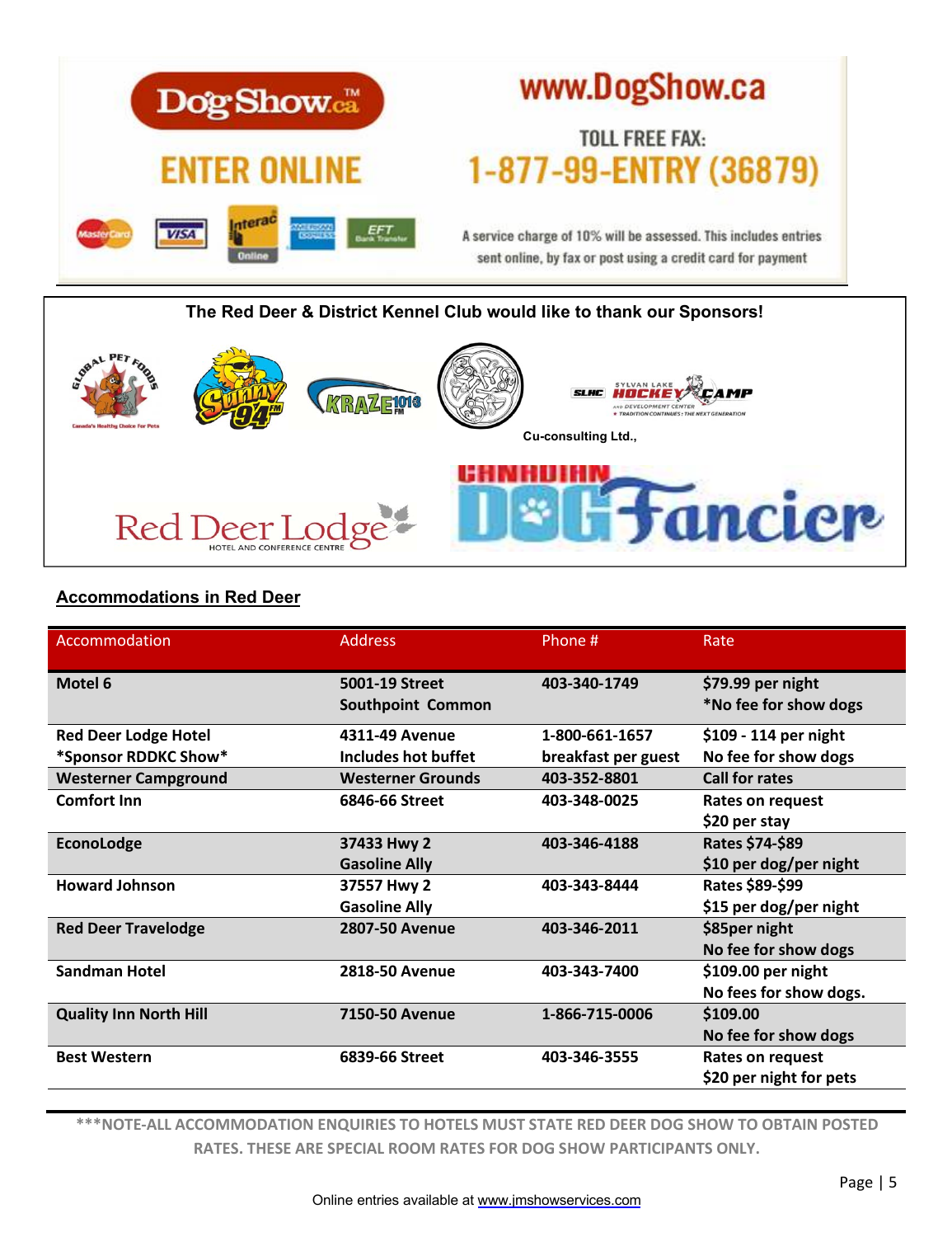

# **The Red Deer & District Kennel Club would like to thank our Sponsors! Cu-consulting Ltd.,***<u>Educiere</u>* Red I  $PerLoc$

# **Accommodations in Red Deer**

| Accommodation                 | <b>Address</b>           | Phone #             | Rate                    |
|-------------------------------|--------------------------|---------------------|-------------------------|
| Motel 6                       | 5001-19 Street           | 403-340-1749        | \$79.99 per night       |
|                               | <b>Southpoint Common</b> |                     | *No fee for show dogs   |
| <b>Red Deer Lodge Hotel</b>   | 4311-49 Avenue           | 1-800-661-1657      | \$109 - 114 per night   |
| *Sponsor RDDKC Show*          | Includes hot buffet      | breakfast per guest | No fee for show dogs    |
| <b>Westerner Campground</b>   | <b>Westerner Grounds</b> | 403-352-8801        | <b>Call for rates</b>   |
| <b>Comfort Inn</b>            | 6846-66 Street           | 403-348-0025        | Rates on request        |
|                               |                          |                     | \$20 per stay           |
| EconoLodge                    | 37433 Hwy 2              | 403-346-4188        | Rates \$74-\$89         |
|                               | <b>Gasoline Ally</b>     |                     | \$10 per dog/per night  |
| <b>Howard Johnson</b>         | 37557 Hwy 2              | 403-343-8444        | Rates \$89-\$99         |
|                               | <b>Gasoline Ally</b>     |                     | \$15 per dog/per night  |
| <b>Red Deer Travelodge</b>    | <b>2807-50 Avenue</b>    | 403-346-2011        | \$85per night           |
|                               |                          |                     | No fee for show dogs    |
| <b>Sandman Hotel</b>          | <b>2818-50 Avenue</b>    | 403-343-7400        | \$109.00 per night      |
|                               |                          |                     | No fees for show dogs.  |
| <b>Quality Inn North Hill</b> | <b>7150-50 Avenue</b>    | 1-866-715-0006      | \$109.00                |
|                               |                          |                     | No fee for show dogs    |
| <b>Best Western</b>           | 6839-66 Street           | 403-346-3555        | Rates on request        |
|                               |                          |                     | \$20 per night for pets |

**\*\*\*NOTE-ALL ACCOMMODATION ENQUIRIES TO HOTELS MUST STATE RED DEER DOG SHOW TO OBTAIN POSTED RATES. THESE ARE SPECIAL ROOM RATES FOR DOG SHOW PARTICIPANTS ONLY.**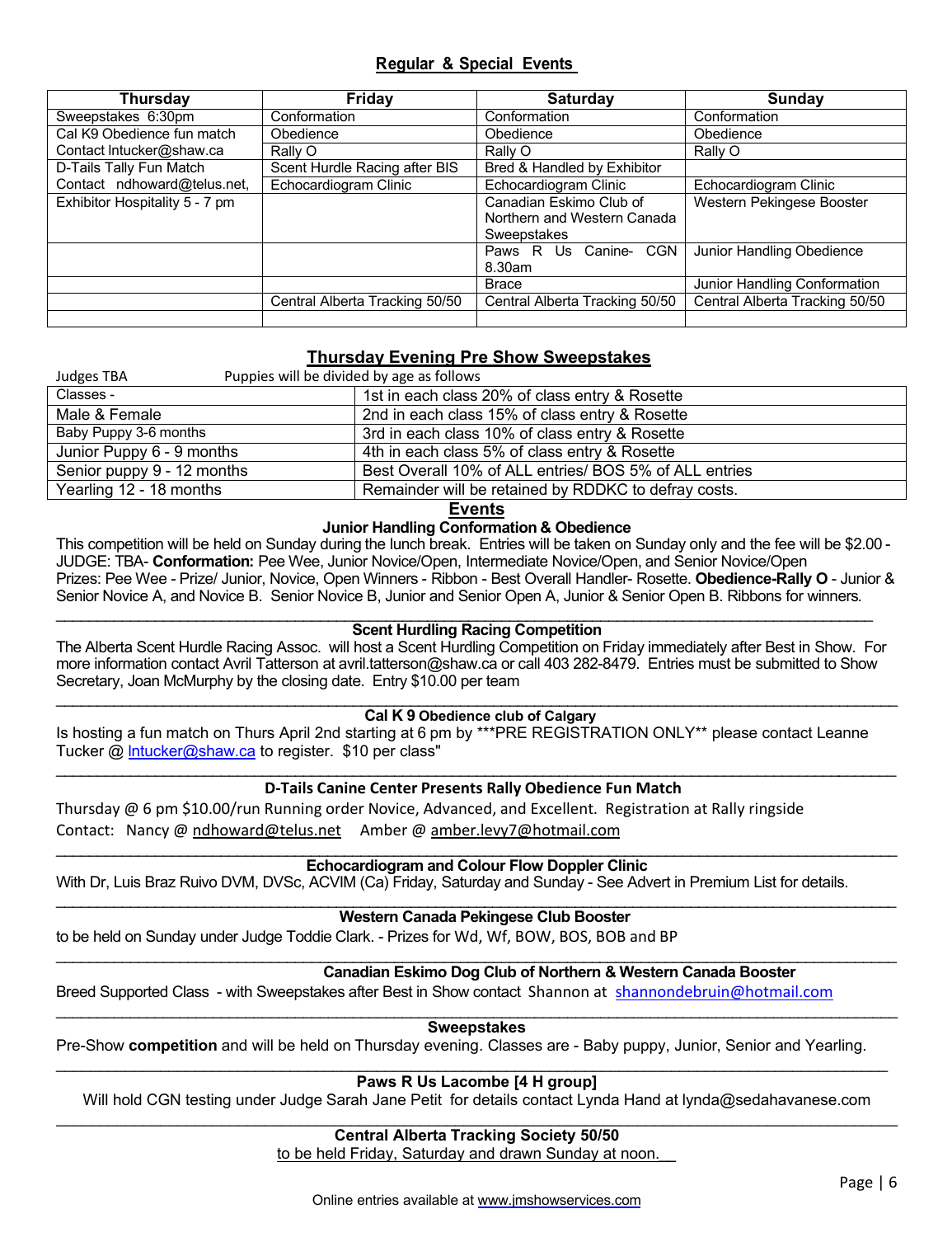### **Regular & Special Events**

| <b>Thursday</b>                | Friday                         | <b>Saturday</b>                | <b>Sunday</b>                  |
|--------------------------------|--------------------------------|--------------------------------|--------------------------------|
| Sweepstakes 6:30pm             | Conformation                   | Conformation                   | Conformation                   |
| Cal K9 Obedience fun match     | Obedience                      | Obedience                      | Obedience                      |
| Contact Intucker@shaw.ca       | Rally O                        | Rally O                        | Rally O                        |
| D-Tails Tally Fun Match        | Scent Hurdle Racing after BIS  | Bred & Handled by Exhibitor    |                                |
| Contact ndhoward@telus.net,    | Echocardiogram Clinic          | Echocardiogram Clinic          | Echocardiogram Clinic          |
| Exhibitor Hospitality 5 - 7 pm |                                | Canadian Eskimo Club of        | Western Pekingese Booster      |
|                                |                                | Northern and Western Canada    |                                |
|                                |                                | Sweepstakes                    |                                |
|                                |                                | Paws R Us Canine- CGN          | Junior Handling Obedience      |
|                                |                                | 8.30am                         |                                |
|                                |                                | <b>Brace</b>                   | Junior Handling Conformation   |
|                                | Central Alberta Tracking 50/50 | Central Alberta Tracking 50/50 | Central Alberta Tracking 50/50 |
|                                |                                |                                |                                |

### **Thursday Evening Pre Show Sweepstakes**

| Puppies will be divided by age as follows<br>Judges TBA |                                                        |
|---------------------------------------------------------|--------------------------------------------------------|
| Classes -                                               | 1st in each class 20% of class entry & Rosette         |
| Male & Female                                           | 2nd in each class 15% of class entry & Rosette         |
| Baby Puppy 3-6 months                                   | 3rd in each class 10% of class entry & Rosette         |
| Junior Puppy 6 - 9 months                               | 4th in each class 5% of class entry & Rosette          |
| Senior puppy 9 - 12 months                              | Best Overall 10% of ALL entries/ BOS 5% of ALL entries |
| Yearling 12 - 18 months                                 | Remainder will be retained by RDDKC to defray costs.   |

**Events**

#### **Junior Handling Conformation & Obedience**

This competition will be held on Sunday during the lunch break. Entries will be taken on Sunday only and the fee will be \$2.00 - JUDGE: TBA- **Conformation:** Pee Wee, Junior Novice/Open, Intermediate Novice/Open, and Senior Novice/Open Prizes: Pee Wee - Prize/ Junior, Novice, Open Winners - Ribbon - Best Overall Handler- Rosette. **Obedience-Rally O** - Junior & Senior Novice A, and Novice B. Senior Novice B, Junior and Senior Open A, Junior & Senior Open B. Ribbons for winners.

#### \_\_\_\_\_\_\_\_\_\_\_\_\_\_\_\_\_\_\_\_\_\_\_\_\_\_\_\_\_\_\_\_\_\_\_\_\_\_\_\_\_\_\_\_\_\_\_\_\_\_\_\_\_\_\_\_\_\_\_\_\_\_\_\_\_\_\_\_\_\_\_\_\_\_\_\_\_\_\_\_\_\_\_\_\_\_\_\_\_\_\_\_\_\_\_\_\_\_\_ **Scent Hurdling Racing Competition**

The Alberta Scent Hurdle Racing Assoc. will host a Scent Hurdling Competition on Friday immediately after Best in Show. For more information contact Avril Tatterson at avril.tatterson@shaw.ca or call 403 282-8479. Entries must be submitted to Show Secretary, Joan McMurphy by the closing date. Entry \$10.00 per team

#### \_\_\_\_\_\_\_\_\_\_\_\_\_\_\_\_\_\_\_\_\_\_\_\_\_\_\_\_\_\_\_\_\_\_\_\_\_\_\_\_\_\_\_\_\_\_\_\_\_\_\_\_\_\_\_\_\_\_\_\_\_\_\_\_\_\_\_\_\_\_\_\_\_\_\_\_\_\_\_\_\_\_\_\_\_\_\_\_\_\_\_\_\_\_\_\_\_\_\_\_\_\_ **Cal K 9 Obedience club of Calgary**

Is hosting a fun match on Thurs April 2nd starting at 6 pm by \*\*\*PRE REGISTRATION ONLY\*\* please contact Leanne Tucker @ Intucker@shaw.ca to register. \$10 per class"

#### \_\_\_\_\_\_\_\_\_\_\_\_\_\_\_\_\_\_\_\_\_\_\_\_\_\_\_\_\_\_\_\_\_\_\_\_\_\_\_\_\_\_\_\_\_\_\_\_\_\_\_\_\_\_\_\_\_\_\_\_\_\_\_\_\_\_\_\_\_\_\_\_\_\_\_\_\_\_\_\_\_\_\_\_\_\_\_\_\_\_\_\_\_\_\_\_\_\_\_\_\_\_ **D-Tails Canine Center Presents Rally Obedience Fun Match**

Thursday @ 6 pm \$10.00/run Running order Novice, Advanced, and Excellent. Registration at Rally ringside Contact: Nancy @ ndhoward@telus.net Amber @ amber.levy7@hotmail.com

#### \_\_\_\_\_\_\_\_\_\_\_\_\_\_\_\_\_\_\_\_\_\_\_\_\_\_\_\_\_\_\_\_\_\_\_\_\_\_\_\_\_\_\_\_\_\_\_\_\_\_\_\_\_\_\_\_\_\_\_\_\_\_\_\_\_\_\_\_\_\_\_\_\_\_\_\_\_\_\_\_\_\_\_\_\_\_\_\_\_\_\_\_\_\_\_\_\_\_\_\_\_\_ **Echocardiogram and Colour Flow Doppler Clinic**

With Dr, Luis Braz Ruivo DVM, DVSc, ACVIM (Ca) Friday, Saturday and Sunday - See Advert in Premium List for details.

#### \_\_\_\_\_\_\_\_\_\_\_\_\_\_\_\_\_\_\_\_\_\_\_\_\_\_\_\_\_\_\_\_\_\_\_\_\_\_\_\_\_\_\_\_\_\_\_\_\_\_\_\_\_\_\_\_\_\_\_\_\_\_\_\_\_\_\_\_\_\_\_\_\_\_\_\_\_\_\_\_\_\_\_\_\_\_\_\_\_\_\_\_\_\_\_\_\_\_\_\_\_\_ **Western Canada Pekingese Club Booster**

to be held on Sunday under Judge Toddie Clark. - Prizes for Wd, Wf, BOW, BOS, BOB and BP

#### \_\_\_\_\_\_\_\_\_\_\_\_\_\_\_\_\_\_\_\_\_\_\_\_\_\_\_\_\_\_\_\_\_\_\_\_\_\_\_\_\_\_\_\_\_\_\_\_\_\_\_\_\_\_\_\_\_\_\_\_\_\_\_\_\_\_\_\_\_\_\_\_\_\_\_\_\_\_\_\_\_\_\_\_\_\_\_\_\_\_\_\_\_\_\_\_\_\_\_\_\_\_ **Canadian Eskimo Dog Club of Northern & Western Canada Booster**

Breed Supported Class - with Sweepstakes after Best in Show contact Shannon at shannondebruin@hotmail.com

#### \_\_\_\_\_\_\_\_\_\_\_\_\_\_\_\_\_\_\_\_\_\_\_\_\_\_\_\_\_\_\_\_\_\_\_\_\_\_\_\_\_\_\_\_\_\_\_\_\_\_\_\_\_\_\_\_\_\_\_\_\_\_\_\_\_\_\_\_\_\_\_\_\_\_\_\_\_\_\_\_\_\_\_\_\_\_\_\_\_\_\_\_\_\_\_\_\_\_\_\_\_\_ **Sweepstakes**

Pre-Show **competition** and will be held on Thursday evening. Classes are - Baby puppy, Junior, Senior and Yearling.

#### \_\_\_\_\_\_\_\_\_\_\_\_\_\_\_\_\_\_\_\_\_\_\_\_\_\_\_\_\_\_\_\_\_\_\_\_\_\_\_\_\_\_\_\_\_\_\_\_\_\_\_\_\_\_\_\_\_\_\_\_\_\_\_\_\_\_\_\_\_\_\_\_\_\_\_\_\_\_\_\_\_\_\_\_\_\_\_\_\_\_\_\_\_\_\_\_ **Paws R Us Lacombe [4 H group]**

Will hold CGN testing under Judge Sarah Jane Petit for details contact Lynda Hand at lynda@sedahavanese.com \_\_\_\_\_\_\_\_\_\_\_\_\_\_\_\_\_\_\_\_\_\_\_\_\_\_\_\_\_\_\_\_\_\_\_\_\_\_\_\_\_\_\_\_\_\_\_\_\_\_\_\_\_\_\_\_\_\_\_\_\_\_\_\_\_\_\_\_\_\_\_\_\_\_\_\_\_\_\_\_\_\_\_\_\_\_\_\_\_\_\_\_\_\_\_\_\_

#### **Central Alberta Tracking Society 50/50**

to be held Friday, Saturday and drawn Sunday at noon.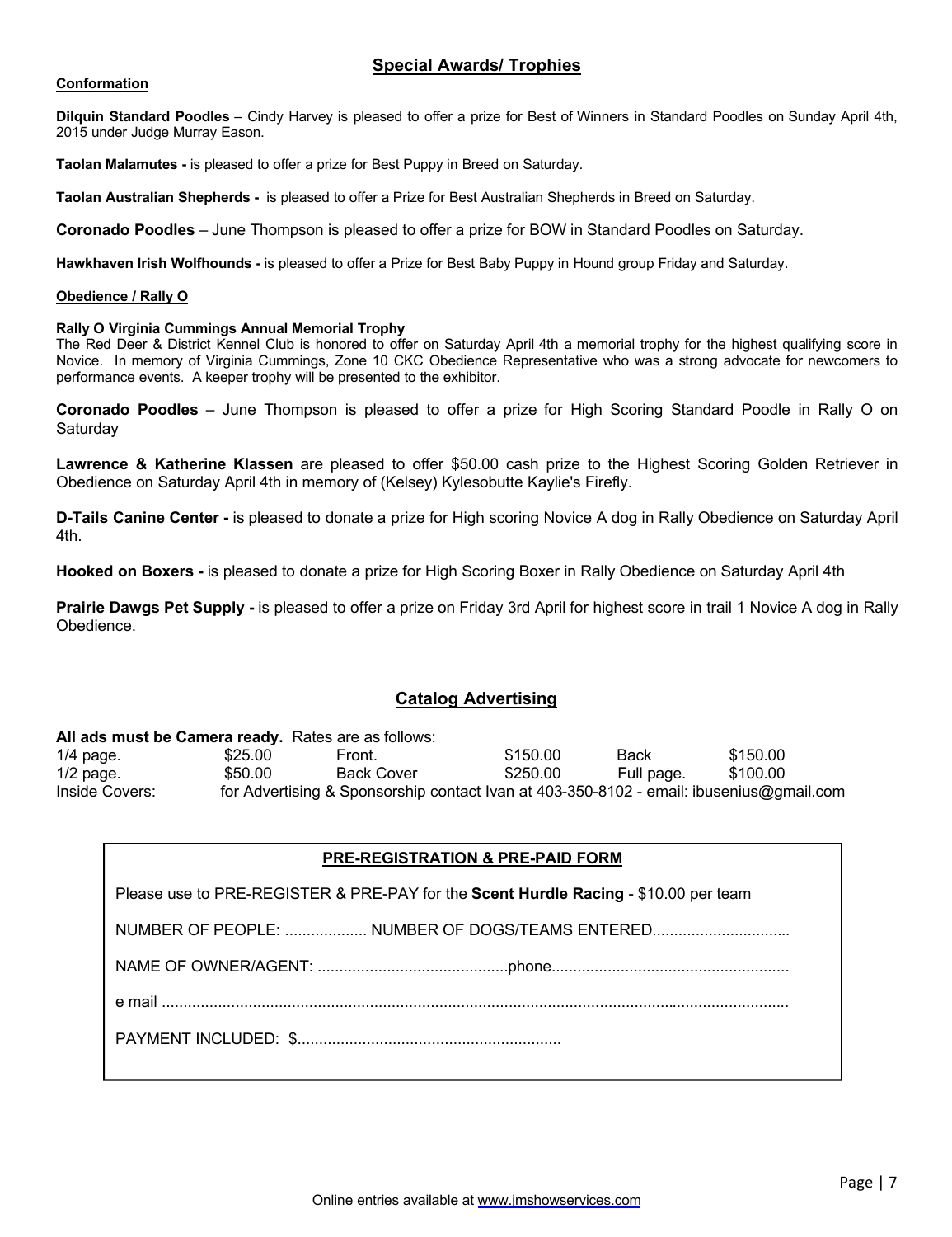### **Special Awards/ Trophies**

#### **Conformation**

**Dilquin Standard Poodles** – Cindy Harvey is pleased to offer a prize for Best of Winners in Standard Poodles on Sunday April 4th, 2015 under Judge Murray Eason.

**Taolan Malamutes -** is pleased to offer a prize for Best Puppy in Breed on Saturday.

**Taolan Australian Shepherds -** is pleased to offer a Prize for Best Australian Shepherds in Breed on Saturday.

**Coronado Poodles** – June Thompson is pleased to offer a prize for BOW in Standard Poodles on Saturday.

**Hawkhaven Irish Wolfhounds -** is pleased to offer a Prize for Best Baby Puppy in Hound group Friday and Saturday.

#### **Obedience / Rally O**

#### **Rally O Virginia Cummings Annual Memorial Trophy**

The Red Deer & District Kennel Club is honored to offer on Saturday April 4th a memorial trophy for the highest qualifying score in Novice. In memory of Virginia Cummings, Zone 10 CKC Obedience Representative who was a strong advocate for newcomers to performance events. A keeper trophy will be presented to the exhibitor.

**Coronado Poodles** – June Thompson is pleased to offer a prize for High Scoring Standard Poodle in Rally O on Saturday

**Lawrence & Katherine Klassen** are pleased to offer \$50.00 cash prize to the Highest Scoring Golden Retriever in Obedience on Saturday April 4th in memory of (Kelsey) Kylesobutte Kaylie's Firefly.

**D-Tails Canine Center -** is pleased to donate a prize for High scoring Novice A dog in Rally Obedience on Saturday April 4th.

**Hooked on Boxers -** is pleased to donate a prize for High Scoring Boxer in Rally Obedience on Saturday April 4th

**Prairie Dawgs Pet Supply -** is pleased to offer a prize on Friday 3rd April for highest score in trail 1 Novice A dog in Rally Obedience.

#### **Catalog Advertising**

#### **All ads must be Camera ready.** Rates are as follows:

|                |         | $\overline{1}$ www.inwet.www.exilletwite.com/links/2010/10/10/10/10                     |          |            |          |  |
|----------------|---------|-----------------------------------------------------------------------------------------|----------|------------|----------|--|
| $1/4$ page.    | \$25.00 | Front.                                                                                  | \$150.00 | Back       | \$150.00 |  |
| $1/2$ page.    | \$50.00 | <b>Back Cover</b>                                                                       | \$250.00 | Full page. | \$100.00 |  |
| Inside Covers: |         | for Advertising & Sponsorship contact Ivan at 403-350-8102 - email: ibusenius@gmail.com |          |            |          |  |

#### **Benching - Conformation & Obedience PRE-REGISTRATION & PRE-PAID FORM**

Please use to PRE-REGISTER & PRE-PAY for the **Scent Hurdle Racing** - \$10.00 per team

NUMBER OF PEOPLE: .................. NUMBER OF DOGS/TEAMS ENTERED..............................

**Benching** NAME OF OWNER/AGENT: ............................................phone.......................................................

e mail .................................................................................................................................................

PAYMENT INCLUDED: \$.............................................................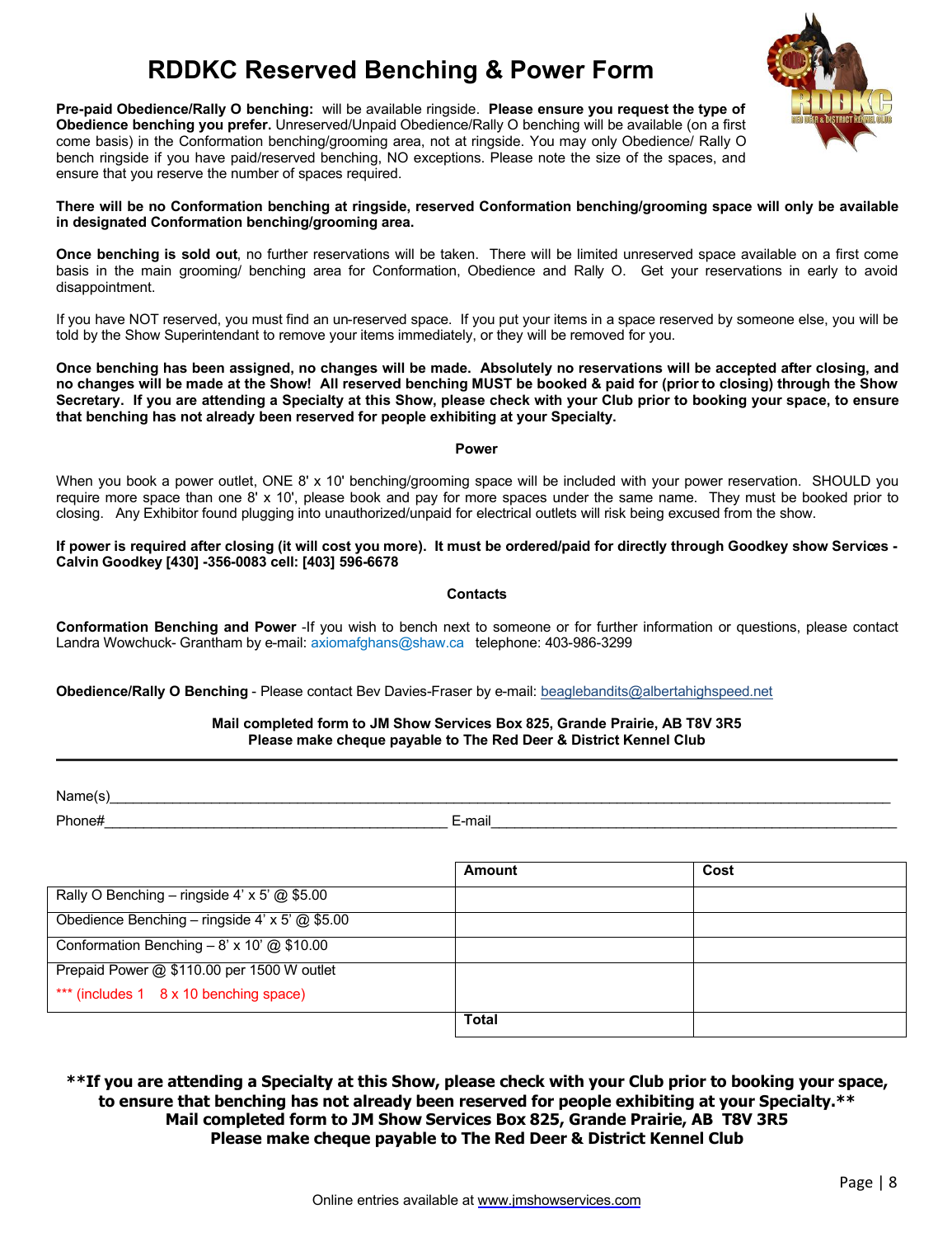# **RDDKC Reserved Benching & Power Form**

**Pre-paid Obedience/Rally O benching:** will be available ringside. **Please ensure you request the type of Obedience benching you prefer.** Unreserved/Unpaid Obedience/Rally O benching will be available (on a first come basis) in the Conformation benching/grooming area, not at ringside. You may only Obedience/ Rally O bench ringside if you have paid/reserved benching, NO exceptions. Please note the size of the spaces, and ensure that you reserve the number of spaces required.



#### **There will be no Conformation benching at ringside, reserved Conformation benching/grooming space will only be available in designated Conformation benching/grooming area.**

**Once benching is sold out**, no further reservations will be taken. There will be limited unreserved space available on a first come basis in the main grooming/ benching area for Conformation, Obedience and Rally O. Get your reservations in early to avoid disappointment.

If you have NOT reserved, you must find an un-reserved space. If you put your items in a space reserved by someone else, you will be told by the Show Superintendant to remove your items immediately, or they will be removed for you.

**Once benching has been assigned, no changes will be made. Absolutely no reservations will be accepted after closing, and no changes will be made at the Show! All reserved benching MUST be booked & paid for (prior to closing) through the Show Secretary. If you are attending a Specialty at this Show, please check with your Club prior to booking your space, to ensure that benching has not already been reserved for people exhibiting at your Specialty.**

#### **Power**

When you book a power outlet, ONE 8' x 10' benching/grooming space will be included with your power reservation. SHOULD you require more space than one 8' x 10', please book and pay for more spaces under the same name. They must be booked prior to closing. Any Exhibitor found plugging into unauthorized/unpaid for electrical outlets will risk being excused from the show.

#### **If power is required after closing (it will cost you more). It must be ordered/paid for directly through Goodkey show Services - Calvin Goodkey [430] -356-0083 cell: [403] 596-6678**

#### **Contacts**

**Conformation Benching and Power** -If you wish to bench next to someone or for further information or questions, please contact Landra Wowchuck- Grantham by e-mail: axiomafghans@shaw.ca telephone: 403-986-3299

**Obedience/Rally O Benching** - Please contact Bev Davies-Fraser by e-mail: beaglebandits@albertahighspeed.net

#### **Mail completed form to JM Show Services Box 825, Grande Prairie, AB T8V 3R5 Please make cheque payable to The Red Deer & District Kennel Club**

 $Name(s)$ 

Phone#\_\_\_\_\_\_\_\_\_\_\_\_\_\_\_\_\_\_\_\_\_\_\_\_\_\_\_\_\_\_\_\_\_\_\_\_\_\_\_\_\_\_\_\_ E-mail\_\_\_\_\_\_\_\_\_\_\_\_\_\_\_\_\_\_\_\_\_\_\_\_\_\_\_\_\_\_\_\_\_\_\_\_\_\_\_\_\_\_\_\_\_\_\_\_\_\_\_\_

|                                                             | Amount | Cost |
|-------------------------------------------------------------|--------|------|
| Rally O Benching – ringside 4' x 5' $@$ \$5.00              |        |      |
| Obedience Benching – ringside 4' x $\overline{5'}$ @ \$5.00 |        |      |
| Conformation Benching - 8' x 10' $@$ \$10.00                |        |      |
| Prepaid Power @ \$110.00 per 1500 W outlet                  |        |      |
| *** (includes 1 8 x 10 benching space)                      |        |      |
|                                                             | Total  |      |

**\*\*If you are attending a Specialty at this Show, please check with your Club prior to booking your space, to ensure that benching has not already been reserved for people exhibiting at your Specialty.\*\* Mail completed form to JM Show Services Box 825, Grande Prairie, AB T8V 3R5 Please make cheque payable to The Red Deer & District Kennel Club**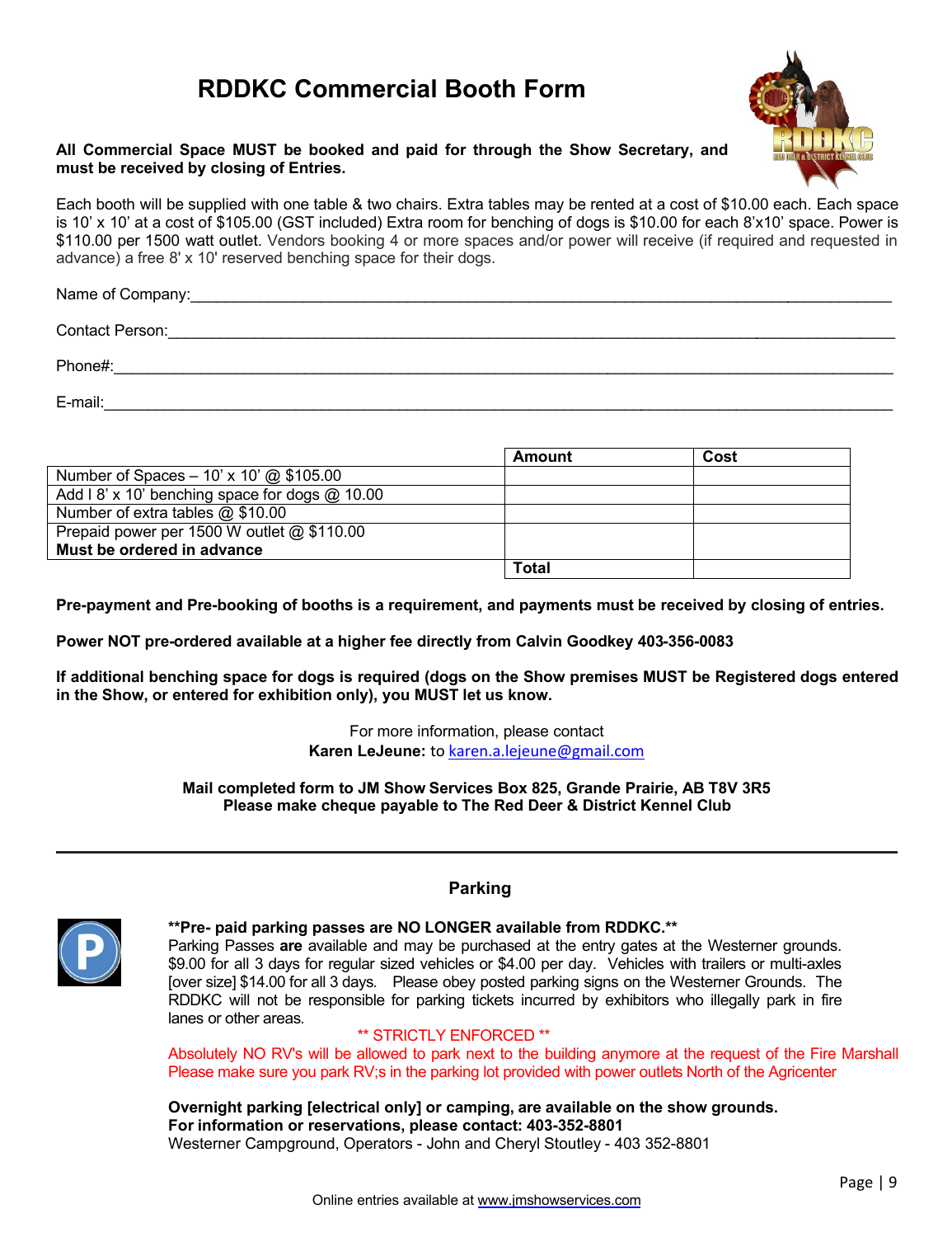# **RDDKC Commercial Booth Form**



#### **All Commercial Space MUST be booked and paid for through the Show Secretary, and must be received by closing of Entries.**

Each booth will be supplied with one table & two chairs. Extra tables may be rented at a cost of \$10.00 each. Each space is 10' x 10' at a cost of \$105.00 (GST included) Extra room for benching of dogs is \$10.00 for each 8'x10' space. Power is \$110.00 per 1500 watt outlet. Vendors booking 4 or more spaces and/or power will receive (if required and requested in advance) a free 8' x 10' reserved benching space for their dogs.

Name of Company:\_\_\_\_\_\_\_\_\_\_\_\_\_\_\_\_\_\_\_\_\_\_\_\_\_\_\_\_\_\_\_\_\_\_\_\_\_\_\_\_\_\_\_\_\_\_\_\_\_\_\_\_\_\_\_\_\_\_\_\_\_\_\_\_\_\_\_\_\_\_\_\_\_\_\_\_\_\_\_\_\_

Contact Person: <u>example</u> and the set of the set of the set of the set of the set of the set of the set of the set of the set of the set of the set of the set of the set of the set of the set of the set of the set of the s

Phone#:\_\_\_\_\_\_\_\_\_\_\_\_\_\_\_\_\_\_\_\_\_\_\_\_\_\_\_\_\_\_\_\_\_\_\_\_\_\_\_\_\_\_\_\_\_\_\_\_\_\_\_\_\_\_\_\_\_\_\_\_\_\_\_\_\_\_\_\_\_\_\_\_\_\_\_\_\_\_\_\_\_\_\_\_\_\_\_\_\_\_

E-mail: which is a set of the set of the set of the set of the set of the set of the set of the set of the set

|                                                | Amount       | Cost |
|------------------------------------------------|--------------|------|
| Number of Spaces $-10'$ x 10' @ \$105.00       |              |      |
| Add I 8' x 10' benching space for dogs @ 10.00 |              |      |
| Number of extra tables $@$ \$10.00             |              |      |
| Prepaid power per 1500 W outlet @ \$110.00     |              |      |
| Must be ordered in advance                     |              |      |
|                                                | <b>Total</b> |      |

**Pre-payment and Pre-booking of booths is a requirement, and payments must be received by closing of entries.** 

**Power NOT pre-ordered available at a higher fee directly from Calvin Goodkey 403-356-0083**

**If additional benching space for dogs is required (dogs on the Show premises MUST be Registered dogs entered in the Show, or entered for exhibition only), you MUST let us know.** 

> For more information, please contact **Karen LeJeune:** to karen.a.lejeune@gmail.com

**Mail completed form to JM Show Services Box 825, Grande Prairie, AB T8V 3R5 Please make cheque payable to The Red Deer & District Kennel Club**



### **Parking**

**\*\*Pre- paid parking passes are NO LONGER available from RDDKC.\*\*** Parking Passes **are** available and may be purchased at the entry gates at the Westerner grounds. \$9.00 for all 3 days for regular sized vehicles or \$4.00 per day. Vehicles with trailers or multi-axles [over size] \$14.00 for all 3 days. Please obey posted parking signs on the Westerner Grounds. The RDDKC will not be responsible for parking tickets incurred by exhibitors who illegally park in fire lanes or other areas.

#### \*\* STRICTLY ENFORCED \*\*

Absolutely NO RV's will be allowed to park next to the building anymore at the request of the Fire Marshall Please make sure you park RV;s in the parking lot provided with power outlets North of the Agricenter

**Overnight parking [electrical only] or camping, are available on the show grounds. For information or reservations, please contact: 403-352-8801** Westerner Campground, Operators - John and Cheryl Stoutley - 403 352-8801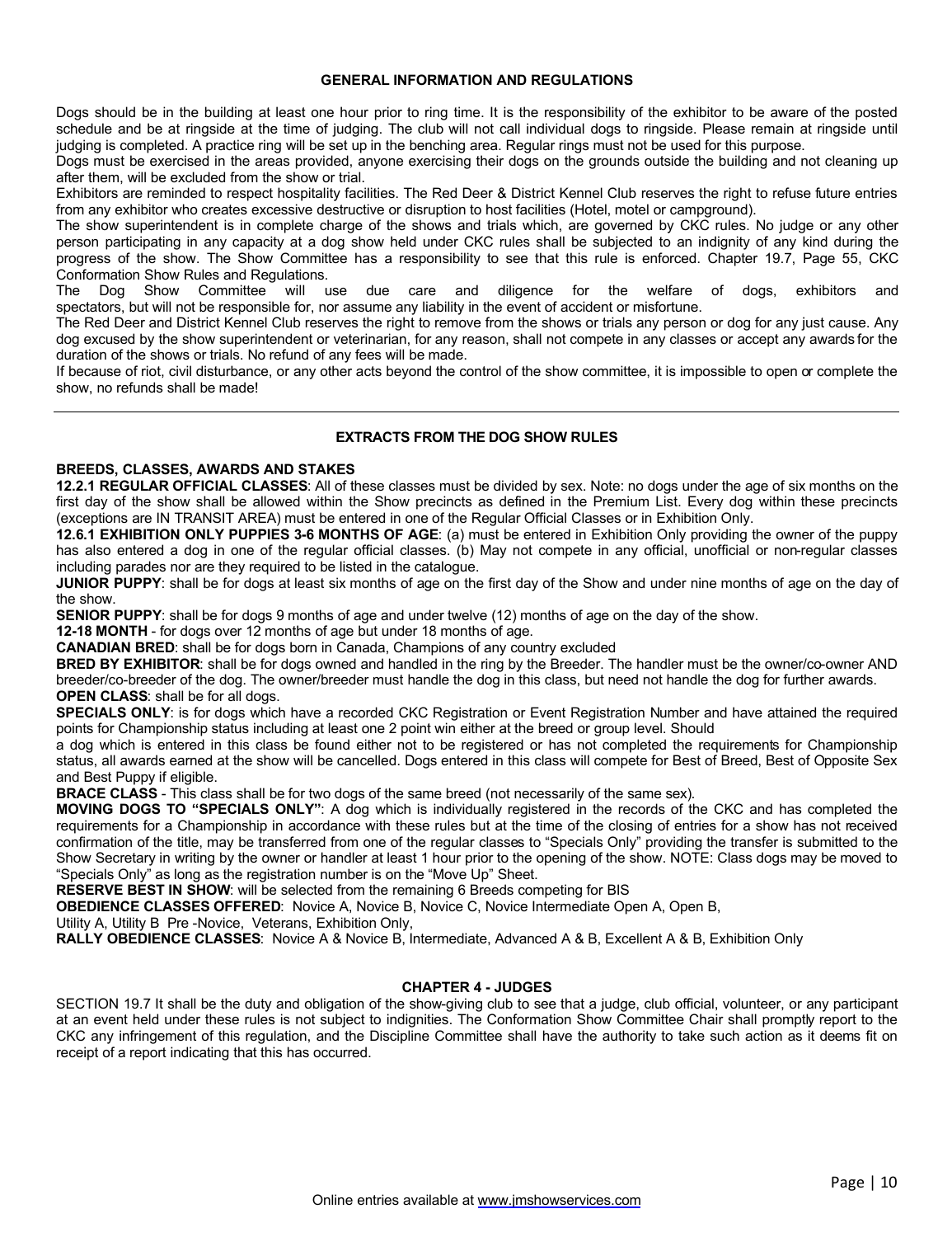#### **GENERAL INFORMATION AND REGULATIONS**

Dogs should be in the building at least one hour prior to ring time. It is the responsibility of the exhibitor to be aware of the posted schedule and be at ringside at the time of judging. The club will not call individual dogs to ringside. Please remain at ringside until judging is completed. A practice ring will be set up in the benching area. Regular rings must not be used for this purpose.

Dogs must be exercised in the areas provided, anyone exercising their dogs on the grounds outside the building and not cleaning up after them, will be excluded from the show or trial.

Exhibitors are reminded to respect hospitality facilities. The Red Deer & District Kennel Club reserves the right to refuse future entries from any exhibitor who creates excessive destructive or disruption to host facilities (Hotel, motel or campground).

The show superintendent is in complete charge of the shows and trials which, are governed by CKC rules. No judge or any other person participating in any capacity at a dog show held under CKC rules shall be subjected to an indignity of any kind during the progress of the show. The Show Committee has a responsibility to see that this rule is enforced. Chapter 19.7, Page 55, CKC Conformation Show Rules and Regulations.

The Dog Show Committee will use due care and diligence for the welfare of dogs, exhibitors and spectators, but will not be responsible for, nor assume any liability in the event of accident or misfortune.

The Red Deer and District Kennel Club reserves the right to remove from the shows or trials any person or dog for any just cause. Any dog excused by the show superintendent or veterinarian, for any reason, shall not compete in any classes or accept any awards for the duration of the shows or trials. No refund of any fees will be made.

If because of riot, civil disturbance, or any other acts beyond the control of the show committee, it is impossible to open or complete the show, no refunds shall be made!

#### **EXTRACTS FROM THE DOG SHOW RULES**

#### **BREEDS, CLASSES, AWARDS AND STAKES**

**12.2.1 REGULAR OFFICIAL CLASSES**: All of these classes must be divided by sex. Note: no dogs under the age of six months on the first day of the show shall be allowed within the Show precincts as defined in the Premium List. Every dog within these precincts (exceptions are IN TRANSIT AREA) must be entered in one of the Regular Official Classes or in Exhibition Only.

**12.6.1 EXHIBITION ONLY PUPPIES 3-6 MONTHS OF AGE**: (a) must be entered in Exhibition Only providing the owner of the puppy has also entered a dog in one of the regular official classes. (b) May not compete in any official, unofficial or non-regular classes including parades nor are they required to be listed in the catalogue.

**JUNIOR PUPPY**: shall be for dogs at least six months of age on the first day of the Show and under nine months of age on the day of the show.

**SENIOR PUPPY**: shall be for dogs 9 months of age and under twelve (12) months of age on the day of the show.

**12-18 MONTH** - for dogs over 12 months of age but under 18 months of age.

**CANADIAN BRED**: shall be for dogs born in Canada, Champions of any country excluded

**BRED BY EXHIBITOR:** shall be for dogs owned and handled in the ring by the Breeder. The handler must be the owner/co-owner AND breeder/co-breeder of the dog. The owner/breeder must handle the dog in this class, but need not handle the dog for further awards. **OPEN CLASS**: shall be for all dogs.

**SPECIALS ONLY**: is for dogs which have a recorded CKC Registration or Event Registration Number and have attained the required points for Championship status including at least one 2 point win either at the breed or group level. Should

a dog which is entered in this class be found either not to be registered or has not completed the requirements for Championship status, all awards earned at the show will be cancelled. Dogs entered in this class will compete for Best of Breed, Best of Opposite Sex and Best Puppy if eligible.

**BRACE CLASS** - This class shall be for two dogs of the same breed (not necessarily of the same sex).

**MOVING DOGS TO "SPECIALS ONLY"**: A dog which is individually registered in the records of the CKC and has completed the requirements for a Championship in accordance with these rules but at the time of the closing of entries for a show has not received confirmation of the title, may be transferred from one of the regular classes to "Specials Only" providing the transfer is submitted to the Show Secretary in writing by the owner or handler at least 1 hour prior to the opening of the show. NOTE: Class dogs may be moved to "Specials Only" as long as the registration number is on the "Move Up" Sheet.

**RESERVE BEST IN SHOW:** will be selected from the remaining 6 Breeds competing for BIS

**OBEDIENCE CLASSES OFFERED**: Novice A, Novice B, Novice C, Novice Intermediate Open A, Open B,

Utility A, Utility B Pre -Novice, Veterans, Exhibition Only,

**RALLY OBEDIENCE CLASSES**: Novice A & Novice B, Intermediate, Advanced A & B, Excellent A & B, Exhibition Only

#### **CHAPTER 4 - JUDGES**

SECTION 19.7 It shall be the duty and obligation of the show-giving club to see that a judge, club official, volunteer, or any participant at an event held under these rules is not subject to indignities. The Conformation Show Committee Chair shall promptly report to the CKC any infringement of this regulation, and the Discipline Committee shall have the authority to take such action as it deems fit on receipt of a report indicating that this has occurred.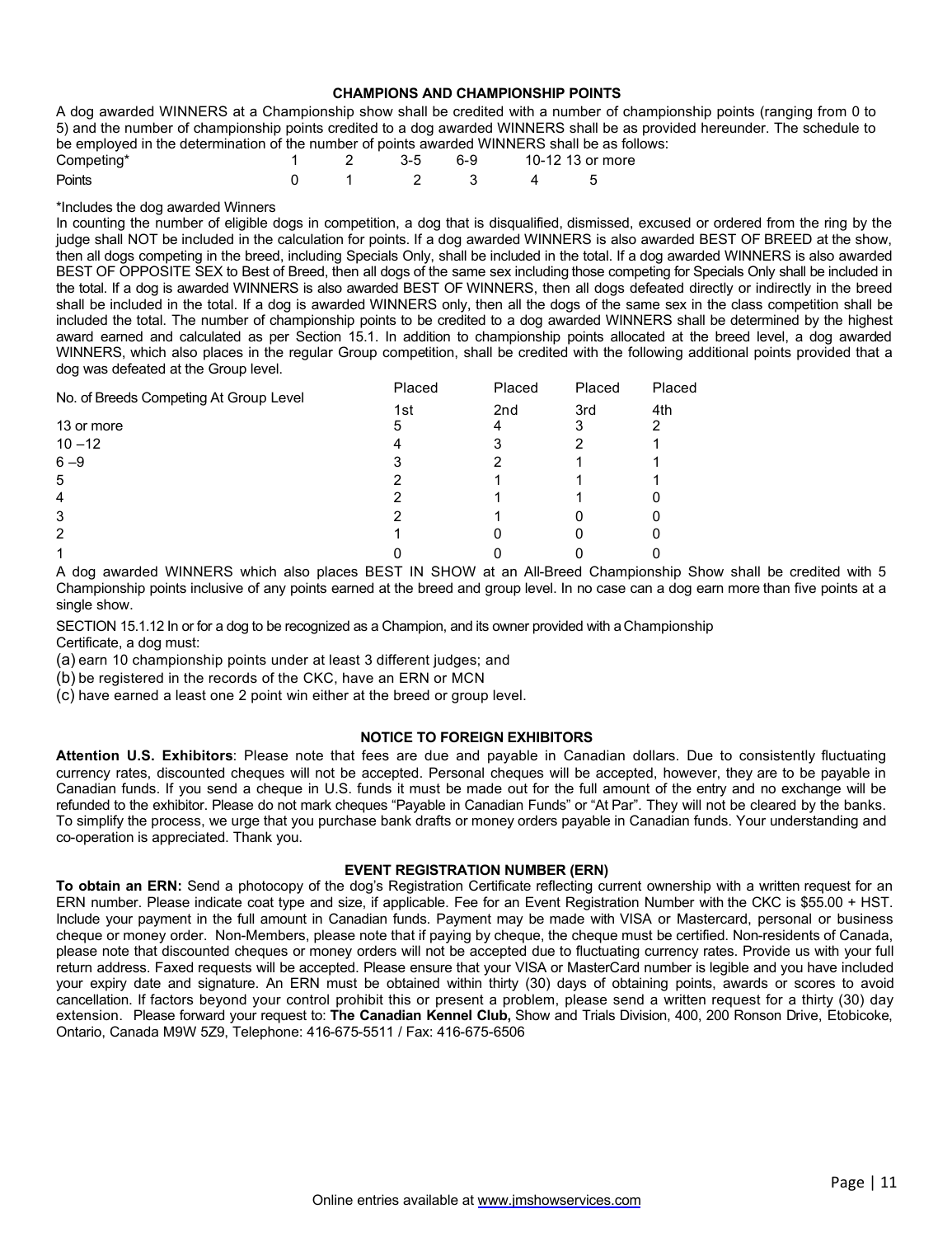#### **CHAMPIONS AND CHAMPIONSHIP POINTS**

A dog awarded WINNERS at a Championship show shall be credited with a number of championship points (ranging from 0 to 5) and the number of championship points credited to a dog awarded WINNERS shall be as provided hereunder. The schedule to be employed in the determination of the number of points awarded WINNERS shall be as follows:

| Competing* |  |  |             | 1 2 3-5 6-9 10-12 13 or more |
|------------|--|--|-------------|------------------------------|
| Points     |  |  | 0 1 2 3 4 5 |                              |

#### \*Includes the dog awarded Winners

In counting the number of eligible dogs in competition, a dog that is disqualified, dismissed, excused or ordered from the ring by the judge shall NOT be included in the calculation for points. If a dog awarded WINNERS is also awarded BEST OF BREED at the show, then all dogs competing in the breed, including Specials Only, shall be included in the total. If a dog awarded WINNERS is also awarded BEST OF OPPOSITE SEX to Best of Breed, then all dogs of the same sex including those competing for Specials Only shall be included in the total. If a dog is awarded WINNERS is also awarded BEST OF WINNERS, then all dogs defeated directly or indirectly in the breed shall be included in the total. If a dog is awarded WINNERS only, then all the dogs of the same sex in the class competition shall be included the total. The number of championship points to be credited to a dog awarded WINNERS shall be determined by the highest award earned and calculated as per Section 15.1. In addition to championship points allocated at the breed level, a dog awarded WINNERS, which also places in the regular Group competition, shall be credited with the following additional points provided that a dog was defeated at the Group level.

|                                        | Placed | Placed          | Placed | Placed |
|----------------------------------------|--------|-----------------|--------|--------|
| No. of Breeds Competing At Group Level | 1st    | 2 <sub>nd</sub> | 3rd    | 4th    |
| 13 or more                             | 5      |                 |        |        |
| $10 - 12$                              |        |                 |        |        |
| $6 - 9$                                |        |                 |        |        |
| 5                                      |        |                 |        |        |
| 4                                      |        |                 |        |        |
| 3                                      |        |                 |        |        |
| 2                                      |        |                 |        | U      |
|                                        |        |                 |        |        |

A dog awarded WINNERS which also places BEST IN SHOW at an All-Breed Championship Show shall be credited with 5 Championship points inclusive of any points earned at the breed and group level. In no case can a dog earn more than five points at a single show.

SECTION 15.1.12 In or for a dog to be recognized as a Champion, and its owner provided with a Championship Certificate, a dog must:

(a) earn 10 championship points under at least 3 different judges; and

(b) be registered in the records of the CKC, have an ERN or MCN

(c) have earned a least one 2 point win either at the breed or group level.

#### **NOTICE TO FOREIGN EXHIBITORS**

**Attention U.S. Exhibitors**: Please note that fees are due and payable in Canadian dollars. Due to consistently fluctuating currency rates, discounted cheques will not be accepted. Personal cheques will be accepted, however, they are to be payable in Canadian funds. If you send a cheque in U.S. funds it must be made out for the full amount of the entry and no exchange will be refunded to the exhibitor. Please do not mark cheques "Payable in Canadian Funds" or "At Par". They will not be cleared by the banks. To simplify the process, we urge that you purchase bank drafts or money orders payable in Canadian funds. Your understanding and co-operation is appreciated. Thank you.

#### **EVENT REGISTRATION NUMBER (ERN)**

**To obtain an ERN:** Send a photocopy of the dog's Registration Certificate reflecting current ownership with a written request for an ERN number. Please indicate coat type and size, if applicable. Fee for an Event Registration Number with the CKC is \$55.00 + HST. Include your payment in the full amount in Canadian funds. Payment may be made with VISA or Mastercard, personal or business cheque or money order. Non-Members, please note that if paying by cheque, the cheque must be certified. Non-residents of Canada, please note that discounted cheques or money orders will not be accepted due to fluctuating currency rates. Provide us with your full return address. Faxed requests will be accepted. Please ensure that your VISA or MasterCard number is legible and you have included your expiry date and signature. An ERN must be obtained within thirty (30) days of obtaining points, awards or scores to avoid cancellation. If factors beyond your control prohibit this or present a problem, please send a written request for a thirty (30) day extension. Please forward your request to: **The Canadian Kennel Club,** Show and Trials Division, 400, 200 Ronson Drive, Etobicoke, Ontario, Canada M9W 5Z9, Telephone: 416-675-5511 / Fax: 416-675-6506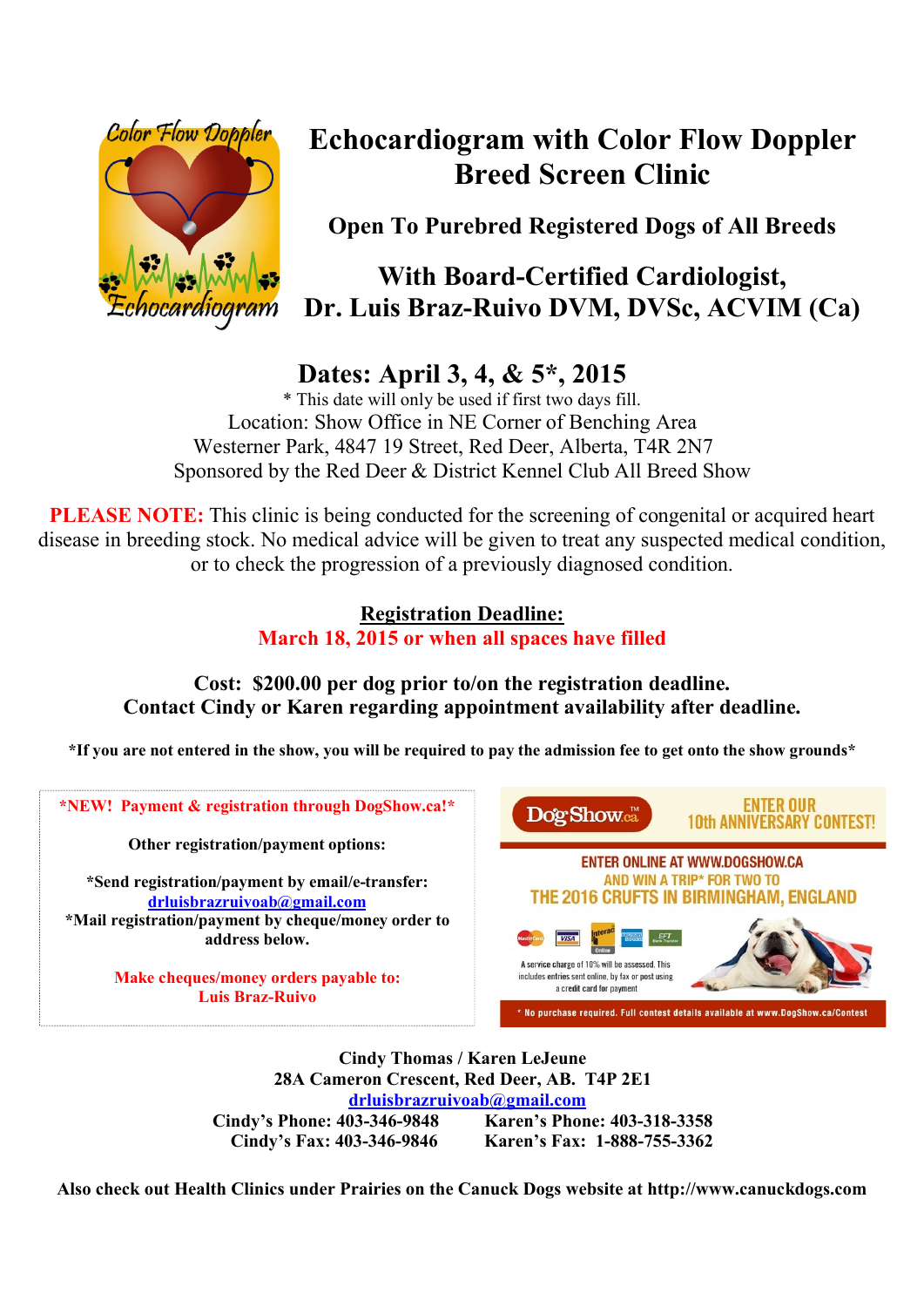

# **Echocardiogram with Color Flow Doppler Breed Screen Clinic**

**Open To Purebred Registered Dogs of All Breeds**

# **With Board-Certified Cardiologist, Dr. Luis Braz-Ruivo DVM, DVSc, ACVIM (Ca)**

# **Dates: April 3, 4, & 5\*, 2015**

\* This date will only be used if first two days fill. Location: Show Office in NE Corner of Benching Area Westerner Park, 4847 19 Street, Red Deer, Alberta, T4R 2N7 Sponsored by the Red Deer & District Kennel Club All Breed Show

**PLEASE NOTE:** This clinic is being conducted for the screening of congenital or acquired heart disease in breeding stock. No medical advice will be given to treat any suspected medical condition, or to check the progression of a previously diagnosed condition.

# **Registration Deadline: March 18, 2015 or when all spaces have filled**

**Cost: \$200.00 per dog prior to/on the registration deadline. Contact Cindy or Karen regarding appointment availability after deadline.** 

**\*If you are not entered in the show, you will be required to pay the admission fee to get onto the show grounds\***



**Cindy Thomas / Karen LeJeune 28A Cameron Crescent, Red Deer, AB. T4P 2E1 drluisbrazruivoab@gmail.com Cindy's Phone: 403-346-9848 Karen's Phone: 403-318-3358 Cindy's Fax: 403-346-9846 Karen's Fax: 1-888-755-3362** 

**Also check out Health Clinics under Prairies on the Canuck Dogs website at http://www.canuckdogs.com**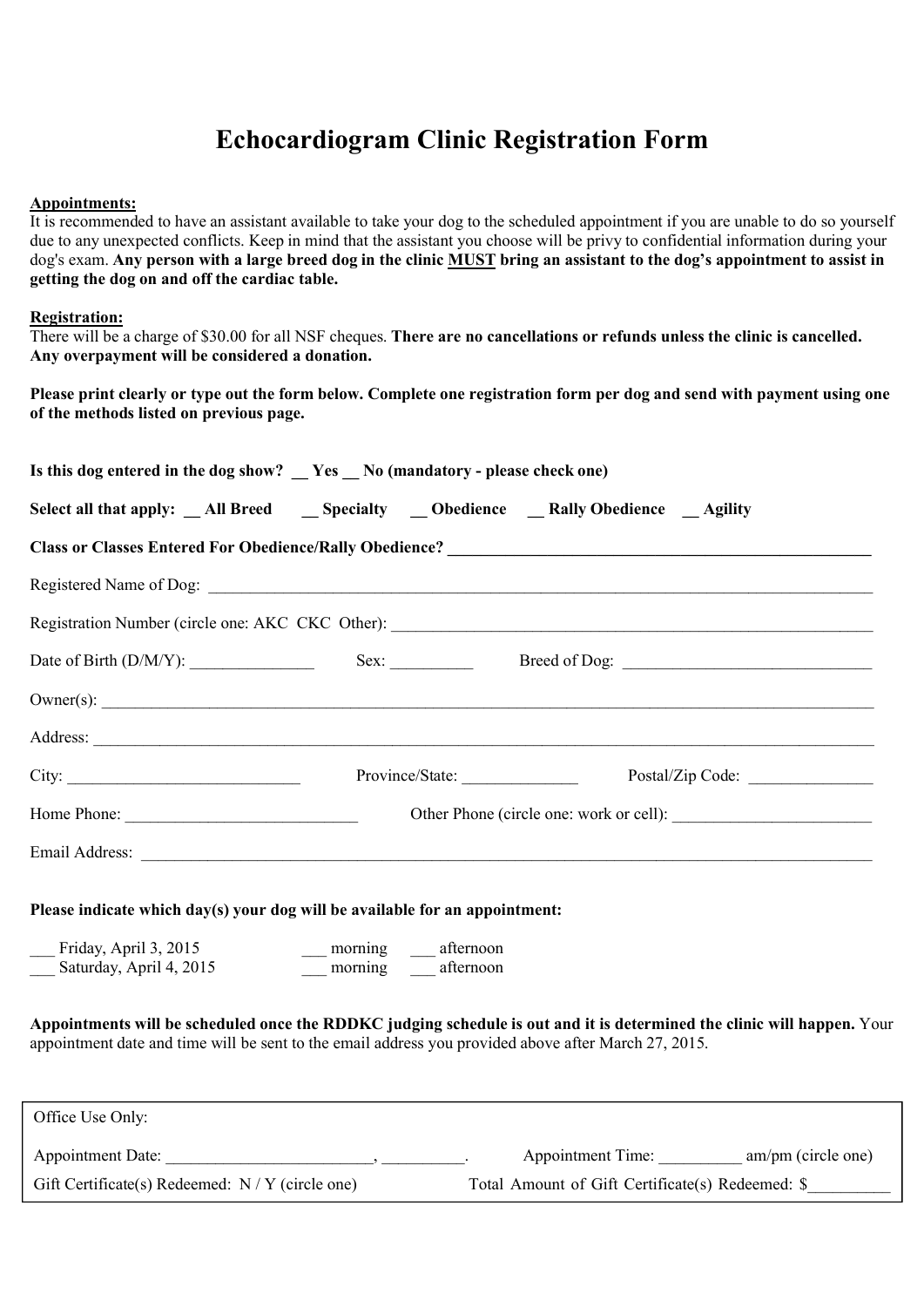# **Echocardiogram Clinic Registration Form**

#### **Appointments:**

It is recommended to have an assistant available to take your dog to the scheduled appointment if you are unable to do so yourself due to any unexpected conflicts. Keep in mind that the assistant you choose will be privy to confidential information during your dog's exam. **Any person with a large breed dog in the clinic MUST bring an assistant to the dog's appointment to assist in getting the dog on and off the cardiac table.**

#### **Registration:**

There will be a charge of \$30.00 for all NSF cheques. **There are no cancellations or refunds unless the clinic is cancelled. Any overpayment will be considered a donation.**

**Please print clearly or type out the form below. Complete one registration form per dog and send with payment using one of the methods listed on previous page.**

| Is this dog entered in the dog show? _ Yes _ No (mandatory - please check one)                                                                                                                                                       |                                              |                                                  |                                                   |  |  |  |
|--------------------------------------------------------------------------------------------------------------------------------------------------------------------------------------------------------------------------------------|----------------------------------------------|--------------------------------------------------|---------------------------------------------------|--|--|--|
| Select all that apply: _All Breed __ Specialty __ Obedience __ Rally Obedience __ Agility                                                                                                                                            |                                              |                                                  |                                                   |  |  |  |
|                                                                                                                                                                                                                                      |                                              |                                                  |                                                   |  |  |  |
|                                                                                                                                                                                                                                      |                                              |                                                  |                                                   |  |  |  |
| Registration Number (circle one: AKC CKC Other): ________________________________                                                                                                                                                    |                                              |                                                  |                                                   |  |  |  |
|                                                                                                                                                                                                                                      |                                              |                                                  |                                                   |  |  |  |
| $\text{Owner}(s)$ : $\qquad \qquad$                                                                                                                                                                                                  |                                              |                                                  |                                                   |  |  |  |
| Address: <u>New York: Address:</u> New York: 2008. The Contract of the Contract of the Contract of the Contract of the Contract of the Contract of the Contract of the Contract of the Contract of the Contract of the Contract of   |                                              |                                                  |                                                   |  |  |  |
|                                                                                                                                                                                                                                      |                                              |                                                  |                                                   |  |  |  |
|                                                                                                                                                                                                                                      |                                              |                                                  |                                                   |  |  |  |
| Email Address: <u>The Community of the Community of the Community of the Community of the Community of the Community of the Community of the Community of the Community of the Community of the Community of the Community of th</u> |                                              |                                                  |                                                   |  |  |  |
| Please indicate which day(s) your dog will be available for an appointment:                                                                                                                                                          |                                              |                                                  |                                                   |  |  |  |
| Friday, April 3, 2015<br>Saturday, April 4, 2015                                                                                                                                                                                     | __ morning __ afternoon<br>morning afternoon |                                                  |                                                   |  |  |  |
| Appointments will be scheduled once the RDDKC judging schedule is out and it is determined the clinic will happen. Your<br>appointment date and time will be sent to the email address you provided above after March 27, 2015.      |                                              |                                                  |                                                   |  |  |  |
| Office Use Only:                                                                                                                                                                                                                     |                                              |                                                  |                                                   |  |  |  |
|                                                                                                                                                                                                                                      |                                              |                                                  | Appointment Time: ____________ am/pm (circle one) |  |  |  |
| Gift Certificate(s) Redeemed: $N/Y$ (circle one)                                                                                                                                                                                     |                                              | Total Amount of Gift Certificate(s) Redeemed: \$ |                                                   |  |  |  |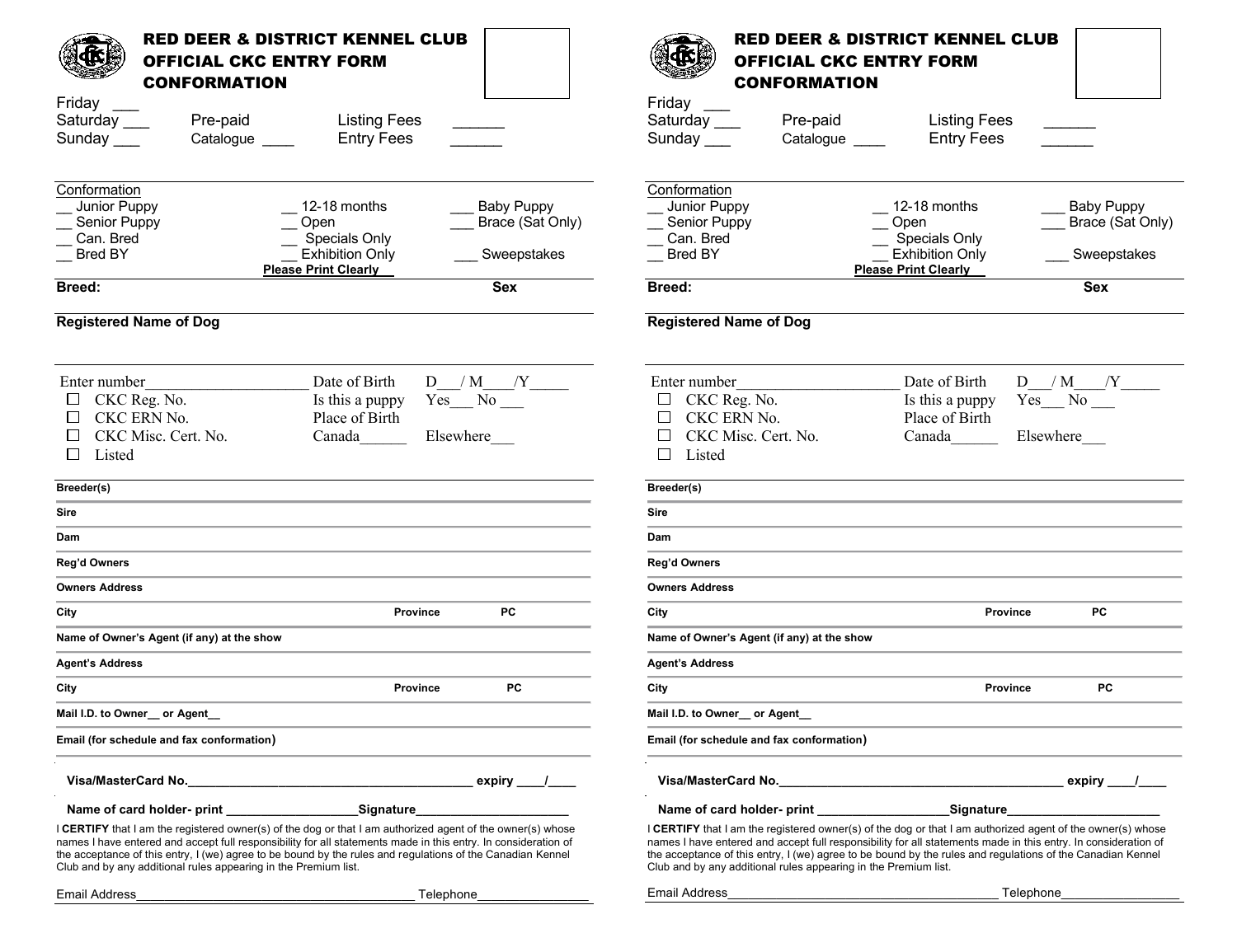| <b>RED DEER &amp; DISTRICT KENNEL CLUB</b><br><b>OFFICIAL CKC ENTRY FORM</b><br><b>CONFORMATION</b>                                                                                                                                                                                                                                                                                                                  |                                                                                                             | <b>RED DEER &amp; DISTRICT KENNEL CLUB</b><br><b>OFFICIAL CKC ENTRY FORM</b><br><b>CONFORMATION</b>                                                                                                                                                                                                                                                                                                                |                                                              |                                                                  |  |
|----------------------------------------------------------------------------------------------------------------------------------------------------------------------------------------------------------------------------------------------------------------------------------------------------------------------------------------------------------------------------------------------------------------------|-------------------------------------------------------------------------------------------------------------|--------------------------------------------------------------------------------------------------------------------------------------------------------------------------------------------------------------------------------------------------------------------------------------------------------------------------------------------------------------------------------------------------------------------|--------------------------------------------------------------|------------------------------------------------------------------|--|
| Friday                                                                                                                                                                                                                                                                                                                                                                                                               |                                                                                                             | Friday ___                                                                                                                                                                                                                                                                                                                                                                                                         |                                                              |                                                                  |  |
| Saturday ___<br>Pre-paid<br>Sunday $\_\_\_\$<br>Catalogue _____                                                                                                                                                                                                                                                                                                                                                      | <b>Listing Fees</b><br><b>Entry Fees</b>                                                                    | Saturday ___<br>Pre-paid<br>Sunday ____<br>Catalogue                                                                                                                                                                                                                                                                                                                                                               | <b>Listing Fees</b><br><b>Entry Fees</b>                     |                                                                  |  |
|                                                                                                                                                                                                                                                                                                                                                                                                                      |                                                                                                             |                                                                                                                                                                                                                                                                                                                                                                                                                    |                                                              |                                                                  |  |
| Conformation                                                                                                                                                                                                                                                                                                                                                                                                         |                                                                                                             | Conformation                                                                                                                                                                                                                                                                                                                                                                                                       |                                                              |                                                                  |  |
| Junior Puppy<br>12-18 months                                                                                                                                                                                                                                                                                                                                                                                         | <b>Baby Puppy</b>                                                                                           | Junior Puppy                                                                                                                                                                                                                                                                                                                                                                                                       | 12-18 months                                                 | <b>Baby Puppy</b>                                                |  |
| Senior Puppy<br>Open<br>Can. Bred                                                                                                                                                                                                                                                                                                                                                                                    | Brace (Sat Only)                                                                                            | Senior Puppy<br>Can. Bred                                                                                                                                                                                                                                                                                                                                                                                          | Open                                                         | Brace (Sat Only)                                                 |  |
| <b>Bred BY</b>                                                                                                                                                                                                                                                                                                                                                                                                       | Specials Only<br><b>Exhibition Only</b><br>Sweepstakes                                                      | Bred BY                                                                                                                                                                                                                                                                                                                                                                                                            | Specials Only<br><b>Exhibition Only</b>                      | Sweepstakes                                                      |  |
| Please Print Clearly                                                                                                                                                                                                                                                                                                                                                                                                 |                                                                                                             |                                                                                                                                                                                                                                                                                                                                                                                                                    | <b>Please Print Clearly</b>                                  |                                                                  |  |
| <b>Breed:</b>                                                                                                                                                                                                                                                                                                                                                                                                        | <b>Sex</b>                                                                                                  | Breed:                                                                                                                                                                                                                                                                                                                                                                                                             |                                                              | <b>Sex</b>                                                       |  |
| <b>Registered Name of Dog</b>                                                                                                                                                                                                                                                                                                                                                                                        |                                                                                                             | <b>Registered Name of Dog</b>                                                                                                                                                                                                                                                                                                                                                                                      |                                                              |                                                                  |  |
| Enter number<br>CKC Reg. No.<br>CKC ERN No.<br>CKC Misc. Cert. No.<br>Canada<br>Listed<br>П                                                                                                                                                                                                                                                                                                                          | Date of Birth<br>$D$ / M / Y _______<br>$Yes$ No $\qquad$<br>Is this a puppy<br>Place of Birth<br>Elsewhere | Enter number<br>CKC Reg. No.<br>$\Box$<br>CKC ERN No.<br>$\Box$<br>CKC Misc. Cert. No.<br>$\perp$<br>Listed<br>П                                                                                                                                                                                                                                                                                                   | Date of Birth<br>Is this a puppy<br>Place of Birth<br>Canada | $D_$ $M_$ $Y_$<br>$Yes$ No $\overline{\phantom{a}}$<br>Elsewhere |  |
| Breeder(s)                                                                                                                                                                                                                                                                                                                                                                                                           |                                                                                                             | Breeder(s)                                                                                                                                                                                                                                                                                                                                                                                                         |                                                              |                                                                  |  |
| <b>Sire</b>                                                                                                                                                                                                                                                                                                                                                                                                          |                                                                                                             | <b>Sire</b>                                                                                                                                                                                                                                                                                                                                                                                                        |                                                              |                                                                  |  |
| Dam                                                                                                                                                                                                                                                                                                                                                                                                                  |                                                                                                             | Dam                                                                                                                                                                                                                                                                                                                                                                                                                |                                                              |                                                                  |  |
| Reg'd Owners                                                                                                                                                                                                                                                                                                                                                                                                         |                                                                                                             | Reg'd Owners                                                                                                                                                                                                                                                                                                                                                                                                       |                                                              |                                                                  |  |
| <b>Owners Address</b>                                                                                                                                                                                                                                                                                                                                                                                                |                                                                                                             | <b>Owners Address</b>                                                                                                                                                                                                                                                                                                                                                                                              |                                                              |                                                                  |  |
| City                                                                                                                                                                                                                                                                                                                                                                                                                 | <b>PC</b><br><b>Province</b>                                                                                | City                                                                                                                                                                                                                                                                                                                                                                                                               | <b>Province</b>                                              | <b>PC</b>                                                        |  |
| Name of Owner's Agent (if any) at the show                                                                                                                                                                                                                                                                                                                                                                           |                                                                                                             | Name of Owner's Agent (if any) at the show                                                                                                                                                                                                                                                                                                                                                                         |                                                              |                                                                  |  |
| <b>Agent's Address</b>                                                                                                                                                                                                                                                                                                                                                                                               |                                                                                                             | <b>Agent's Address</b>                                                                                                                                                                                                                                                                                                                                                                                             |                                                              |                                                                  |  |
| City                                                                                                                                                                                                                                                                                                                                                                                                                 | PC<br>Province                                                                                              | City                                                                                                                                                                                                                                                                                                                                                                                                               | <b>Province</b>                                              | PC                                                               |  |
| Mail I.D. to Owner_or Agent_                                                                                                                                                                                                                                                                                                                                                                                         |                                                                                                             | Mail I.D. to Owner_or Agent_                                                                                                                                                                                                                                                                                                                                                                                       |                                                              |                                                                  |  |
| Email (for schedule and fax conformation)                                                                                                                                                                                                                                                                                                                                                                            |                                                                                                             | Email (for schedule and fax conformation)                                                                                                                                                                                                                                                                                                                                                                          |                                                              |                                                                  |  |
|                                                                                                                                                                                                                                                                                                                                                                                                                      |                                                                                                             |                                                                                                                                                                                                                                                                                                                                                                                                                    |                                                              |                                                                  |  |
|                                                                                                                                                                                                                                                                                                                                                                                                                      | Signature                                                                                                   |                                                                                                                                                                                                                                                                                                                                                                                                                    |                                                              |                                                                  |  |
| <b>I CERTIFY</b> that I am the registered owner(s) of the dog or that I am authorized agent of the owner(s) whose<br>names I have entered and accept full responsibility for all statements made in this entry. In consideration of<br>the acceptance of this entry, I (we) agree to be bound by the rules and regulations of the Canadian Kennel<br>Club and by any additional rules appearing in the Premium list. |                                                                                                             | <b>CERTIFY</b> that I am the registered owner(s) of the dog or that I am authorized agent of the owner(s) whose<br>names I have entered and accept full responsibility for all statements made in this entry. In consideration of<br>the acceptance of this entry, I (we) agree to be bound by the rules and regulations of the Canadian Kennel<br>Club and by any additional rules appearing in the Premium list. |                                                              |                                                                  |  |
| Email Address                                                                                                                                                                                                                                                                                                                                                                                                        | Telephone                                                                                                   | Email Address                                                                                                                                                                                                                                                                                                                                                                                                      | Telephone                                                    |                                                                  |  |